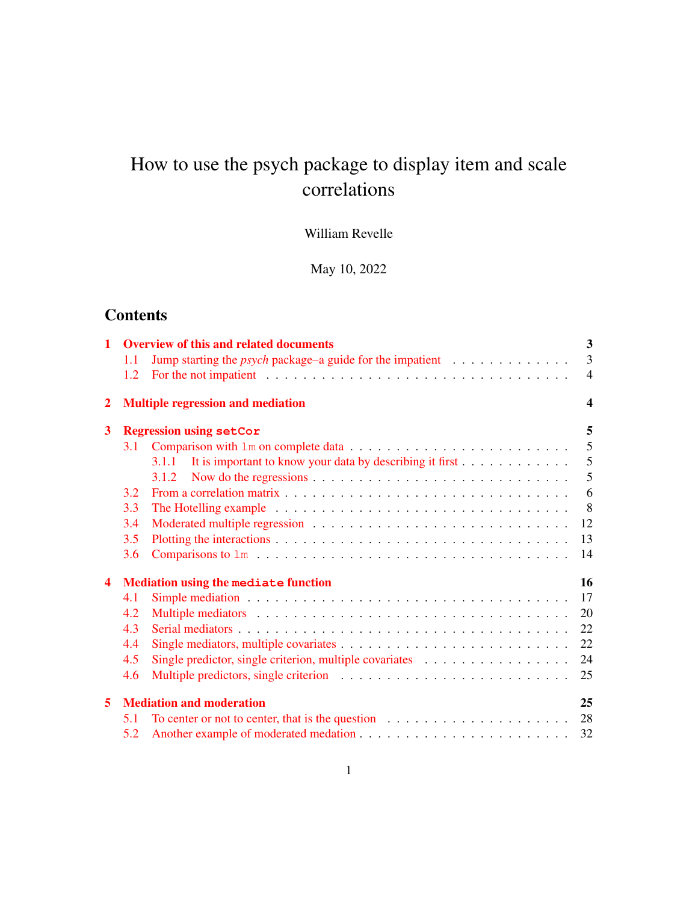# How to use the psych package to display item and scale correlations

William Revelle

May 10, 2022

# **Contents**

| $\mathbf{1}$            |     | <b>Overview of this and related documents</b>                                                                                                                                                                                  | $\mathbf{3}$     |
|-------------------------|-----|--------------------------------------------------------------------------------------------------------------------------------------------------------------------------------------------------------------------------------|------------------|
|                         | 1.1 | Jump starting the <i>psych</i> package–a guide for the impatient $\ldots \ldots \ldots \ldots$                                                                                                                                 | $\overline{3}$   |
|                         | 1.2 | For the not impatient end is not in the contract of the contract of the contract of the contract of the contract of the contract of the contract of the contract of the contract of the contract of the contract of the contra | $\overline{4}$   |
| $\overline{2}$          |     | <b>Multiple regression and mediation</b>                                                                                                                                                                                       | $\boldsymbol{4}$ |
| 3                       |     | <b>Regression using setCor</b>                                                                                                                                                                                                 | 5                |
|                         | 3.1 |                                                                                                                                                                                                                                | $\overline{5}$   |
|                         |     | 3.1.1 It is important to know your data by describing it first                                                                                                                                                                 | 5                |
|                         |     | 3.1.2                                                                                                                                                                                                                          | 5                |
|                         | 3.2 |                                                                                                                                                                                                                                | 6                |
|                         | 3.3 |                                                                                                                                                                                                                                | 8                |
|                         | 3.4 |                                                                                                                                                                                                                                | 12               |
|                         | 3.5 |                                                                                                                                                                                                                                | 13               |
|                         | 3.6 |                                                                                                                                                                                                                                | 14               |
| $\overline{\mathbf{4}}$ |     | Mediation using the mediate function                                                                                                                                                                                           | 16               |
|                         | 4.1 |                                                                                                                                                                                                                                | 17               |
|                         | 4.2 |                                                                                                                                                                                                                                | 20               |
|                         | 4.3 |                                                                                                                                                                                                                                | 22               |
|                         | 4.4 |                                                                                                                                                                                                                                | 22               |
|                         | 4.5 | Single predictor, single criterion, multiple covariates                                                                                                                                                                        | 24               |
|                         | 4.6 |                                                                                                                                                                                                                                | 25               |
| 5                       |     | <b>Mediation and moderation</b>                                                                                                                                                                                                | 25               |
|                         | 5.1 | To center or not to center, that is the question $\dots \dots \dots \dots \dots \dots \dots \dots$                                                                                                                             | 28               |
|                         | 5.2 |                                                                                                                                                                                                                                | 32               |
|                         |     |                                                                                                                                                                                                                                |                  |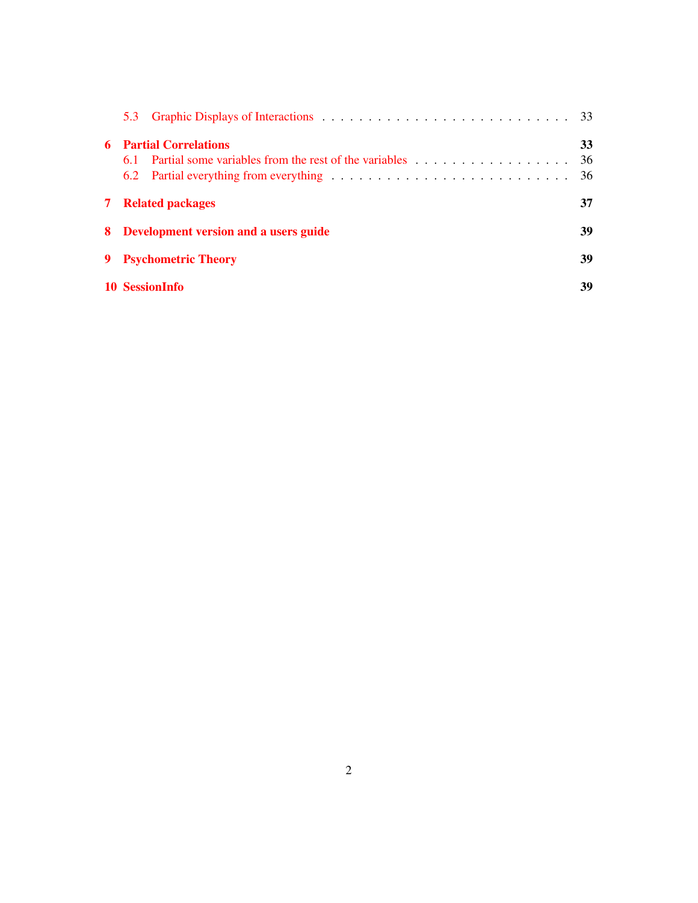| 5.3                                             |                |
|-------------------------------------------------|----------------|
| <b>Partial Correlations</b><br>6.<br>6.1<br>6.2 | 33<br>36<br>36 |
| <b>7</b> Related packages                       | 37             |
| 8 Development version and a users guide         | 39             |
| <b>Psychometric Theory</b>                      | 39             |
| 10 SessionInfo                                  | 39             |
|                                                 |                |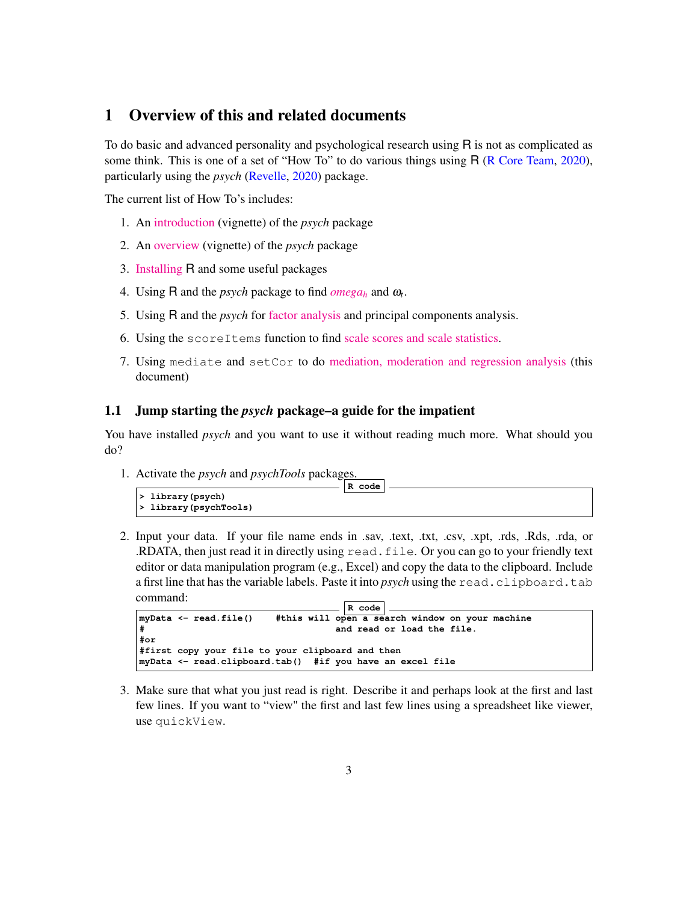# 1 Overview of this and related documents

To do basic and advanced personality and psychological research using R is not as complicated as some think. This is one of a set of "How To" to do various things using R (R Core Team, 2020), particularly using the *psych* (Revelle, 2020) package.

The current list of How To's includes:

- 1. An [introduction](http://personality-project.org/r/psych/intro.pdf) (vignette) of the *psych* package
- 2. An [overview](http://personality-project.org/r/psych/overview.pdf) (vignette) of the *psych* package
- 3. [Installing](http://personality-project.org/r/psych/HowTo/getting_started.pdf) R and some useful packages
- 4. Using R and the *psych* package to find  $omega_h$  $omega_h$  and  $\omega_t$ .
- 5. Using R and the *psych* for [factor analysis](http://personality-project.org/r/psych/HowTo/factor.pdf) and principal components analysis.
- 6. Using the scoreItems function to find [scale scores and scale statistics.](http://personality-project.org/r/psych/HowTo/scoring.pdf)
- 7. Using mediate and setCor to do [mediation, moderation and regression analysis](http://personality-project.org/r/psych/HowTo/mediation.pdf) (this document)

### 1.1 Jump starting the *psych* package–a guide for the impatient

You have installed *psych* and you want to use it without reading much more. What should you do?

1. Activate the *psych* and *psychTools* packages.

|                       | R code |  |
|-----------------------|--------|--|
|                       |        |  |
| > library(psych)      |        |  |
| > library(psychTools) |        |  |
|                       |        |  |

2. Input your data. If your file name ends in .sav, .text, .txt, .csv, .xpt, .rds, .Rds, .rda, or .RDATA, then just read it in directly using read.file. Or you can go to your friendly text editor or data manipulation program (e.g., Excel) and copy the data to the clipboard. Include a first line that has the variable labels. Paste it into *psych* using the read.clipboard.tab command:

```
R code
myData <- read.file() #this will open a search window on your machine
# and read or load the file.
#or
#first copy your file to your clipboard and then
myData <- read.clipboard.tab() #if you have an excel file
```
3. Make sure that what you just read is right. Describe it and perhaps look at the first and last few lines. If you want to "view" the first and last few lines using a spreadsheet like viewer, use quickView.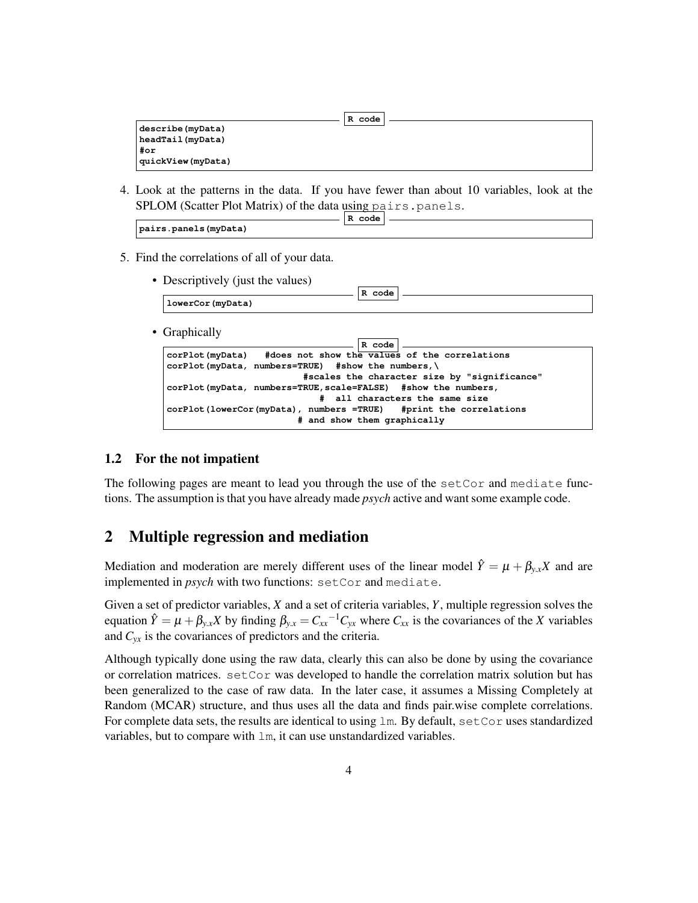|                   | R code |  |
|-------------------|--------|--|
| describe (myData) |        |  |
| headTail(myData)  |        |  |
| #or               |        |  |
| quickView(myData) |        |  |

4. Look at the patterns in the data. If you have fewer than about 10 variables, look at the SPLOM (Scatter Plot Matrix) of the data using pairs.panels.

|                       | code<br>R |  |
|-----------------------|-----------|--|
| pairs.panels (myData) |           |  |

5. Find the correlations of all of your data.

| • Descriptively (just the values)<br>R code                        |
|--------------------------------------------------------------------|
| lowerCor(myData)                                                   |
| • Graphically<br>R code                                            |
| #does not show the values of the correlations<br>corPlot(myData)   |
| $corPlot(mvData, numbers = TRUE)$ #show the numbers,               |
| #scales the character size by "significance"                       |
| corPlot (myData, numbers=TRUE, scale=FALSE) #show the numbers,     |
| # all characters the same size                                     |
| corPlot (lowerCor (myData), numbers =TRUE) #print the correlations |
| # and show them graphically                                        |
|                                                                    |

### 1.2 For the not impatient

The following pages are meant to lead you through the use of the setCor and mediate functions. The assumption is that you have already made *psych* active and want some example code.

# 2 Multiple regression and mediation

Mediation and moderation are merely different uses of the linear model  $\hat{Y} = \mu + \beta_{y.x}X$  and are implemented in *psych* with two functions: setCor and mediate.

Given a set of predictor variables, *X* and a set of criteria variables, *Y*, multiple regression solves the equation  $\hat{Y} = \mu + \beta_{y.x} X$  by finding  $\beta_{y.x} = C_{xx}^{-1} C_{yx}$  where  $C_{xx}$  is the covariances of the *X* variables and  $C_{vx}$  is the covariances of predictors and the criteria.

Although typically done using the raw data, clearly this can also be done by using the covariance or correlation matrices. setCor was developed to handle the correlation matrix solution but has been generalized to the case of raw data. In the later case, it assumes a Missing Completely at Random (MCAR) structure, and thus uses all the data and finds pair.wise complete correlations. For complete data sets, the results are identical to using  $\text{lm}$ . By default,  $\text{setCor}$  uses standardized variables, but to compare with lm, it can use unstandardized variables.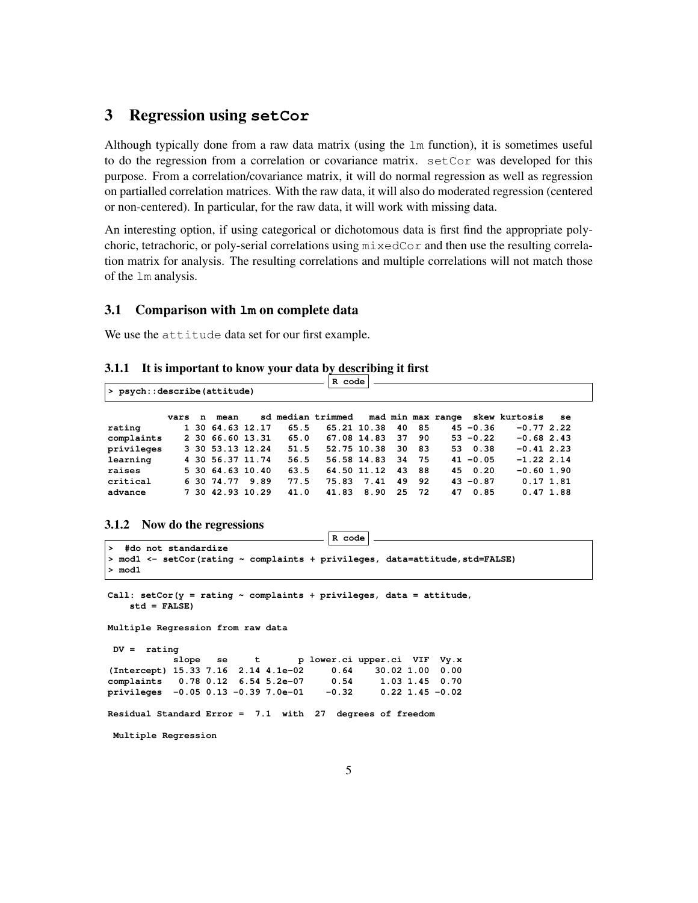# 3 Regression using **setCor**

Although typically done from a raw data matrix (using the lm function), it is sometimes useful to do the regression from a correlation or covariance matrix. setCor was developed for this purpose. From a correlation/covariance matrix, it will do normal regression as well as regression on partialled correlation matrices. With the raw data, it will also do moderated regression (centered or non-centered). In particular, for the raw data, it will work with missing data.

An interesting option, if using categorical or dichotomous data is first find the appropriate polychoric, tetrachoric, or poly-serial correlations using mixedCor and then use the resulting correlation matrix for analysis. The resulting correlations and multiple correlations will not match those of the lm analysis.

#### 3.1 Comparison with **lm** on complete data

We use the attitude data set for our first example.

#### 3.1.1 It is important to know your data by describing it first

|                             |      |   |                  |                  |      | R code            |             |    |       |    |             |                                 |          |  |
|-----------------------------|------|---|------------------|------------------|------|-------------------|-------------|----|-------|----|-------------|---------------------------------|----------|--|
| > psych::describe(attitude) |      |   |                  |                  |      |                   |             |    |       |    |             |                                 |          |  |
|                             | vars | n | mean             |                  |      | sd median trimmed |             |    |       |    |             | mad min max range skew kurtosis | se       |  |
| rating                      |      |   | 1 30 64.63 12.17 |                  | 65.5 |                   | 65.21 10.38 | 40 | 85    |    | $45 - 0.36$ | $-0.772.22$                     |          |  |
| complaints                  |      |   | 2 30 66.60 13.31 |                  | 65.0 |                   | 67.08 14.83 | 37 | 90    |    | $53 - 0.22$ | $-0.682.43$                     |          |  |
| privileges                  |      |   |                  | 3 30 53.13 12.24 | 51.5 |                   | 52.75 10.38 | 30 | - 83  |    | 53 0.38     | $-0.41$ 2.23                    |          |  |
| learning                    |      |   |                  | 4 30 56.37 11.74 | 56.5 |                   | 56.58 14.83 |    | 34 75 |    | $41 - 0.05$ | $-1.22$ 2.14                    |          |  |
| raises                      |      |   |                  | 5 30 64.63 10.40 | 63.5 |                   | 64.50 11.12 | 43 | 88    |    | 45 0.20     | $-0.60$ 1.90                    |          |  |
| critical                    |      |   | 6 30 74.77       | 9.89             | 77.5 | 75.83             | 7.41        | 49 | 92    |    | $43 - 0.87$ | $0.17$ 1.81                     |          |  |
| advance                     |      |   |                  | 7 30 42.93 10.29 | 41.0 | 41.83             | 8.90        | 25 | 72    | 47 | 0.85        |                                 | 0.471.88 |  |

#### 3.1.2 Now do the regressions

```
R code
```

```
> #do not standardize
> mod1 <- setCor(rating ~ complaints + privileges, data=attitude, std=FALSE)
> mod1
Call: setCor(y = rating ~ complaints + privileges, data = attitude,
   std = FALSE)
Multiple Regression from raw data
DV = rating
          slope se t p lower.ci upper.ci VIF Vy.x
(Intercept) 15.33 7.16 2.14 4.1e-02 0.64 30.02 1.00 0.00
complaints 0.78 0.12 6.54 5.2e-07 0.54 1.03 1.45 0.70
privileges -0.05 0.13 -0.39 7.0e-01 -0.32 0.22 1.45 -0.02
Residual Standard Error = 7.1 with 27 degrees of freedom
Multiple Regression
```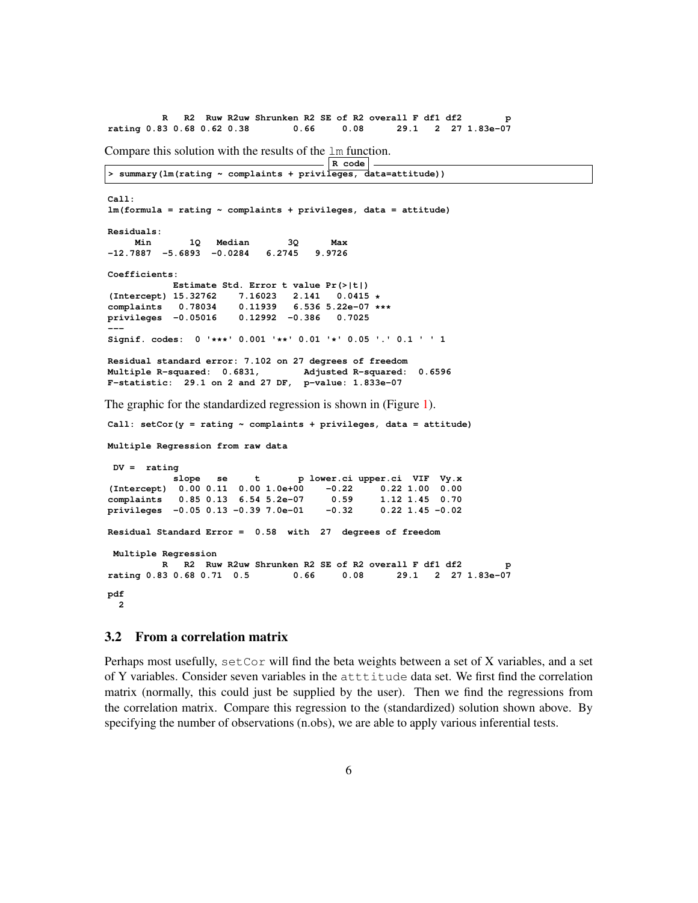**R R2 Ruw R2uw Shrunken R2 SE of R2 overall F df1 df2 p rating 0.83 0.68 0.62 0.38 0.66 0.08 29.1 2 27 1.83e-07** Compare this solution with the results of the lm function. **R code > summary(lm(rating ~ complaints + privileges, data=attitude)) Call: lm(formula = rating ~ complaints + privileges, data = attitude) Residuals: Min 1Q Median 3Q Max -12.7887 -5.6893 -0.0284 6.2745 9.9726 Coefficients: Estimate Std. Error t value Pr(>|t|) (Intercept) 15.32762 7.16023 2.141 0.0415 \* complaints 0.78034 0.11939 6.536 5.22e-07 \*\*\* privileges -0.05016 0.12992 -0.386 0.7025 --- Signif. codes: 0 '\*\*\*' 0.001 '\*\*' 0.01 '\*' 0.05 '.' 0.1 ' ' 1 Residual standard error: 7.102 on 27 degrees of freedom Multiple R-squared: 0.6831, Adjusted R-squared: 0.6596 F-statistic: 29.1 on 2 and 27 DF, p-value: 1.833e-07** The graphic for the standardized regression is shown in (Figure 1). **Call: setCor(y = rating ~ complaints + privileges, data = attitude) Multiple Regression from raw data DV = rating slope se t p lower.ci upper.ci VIF Vy.x (Intercept) 0.00 0.11 0.00 1.0e+00 -0.22 0.22 1.00 0.00 complaints 0.85 0.13 6.54 5.2e-07 0.59 1.12 1.45 0.70 privileges -0.05 0.13 -0.39 7.0e-01 -0.32 0.22 1.45 -0.02 Residual Standard Error = 0.58 with 27 degrees of freedom Multiple Regression** R R2 Ruw R2uw Shrunken R2 SE of R2 overall F df1 df2 **rating 0.83 0.68 0.71 0.5 0.66 0.08 29.1 2 27 1.83e-07 pdf 2**

#### 3.2 From a correlation matrix

Perhaps most usefully,  $\text{setCor}$  will find the beta weights between a set of X variables, and a set of Y variables. Consider seven variables in the atttitude data set. We first find the correlation matrix (normally, this could just be supplied by the user). Then we find the regressions from the correlation matrix. Compare this regression to the (standardized) solution shown above. By specifying the number of observations (n.obs), we are able to apply various inferential tests.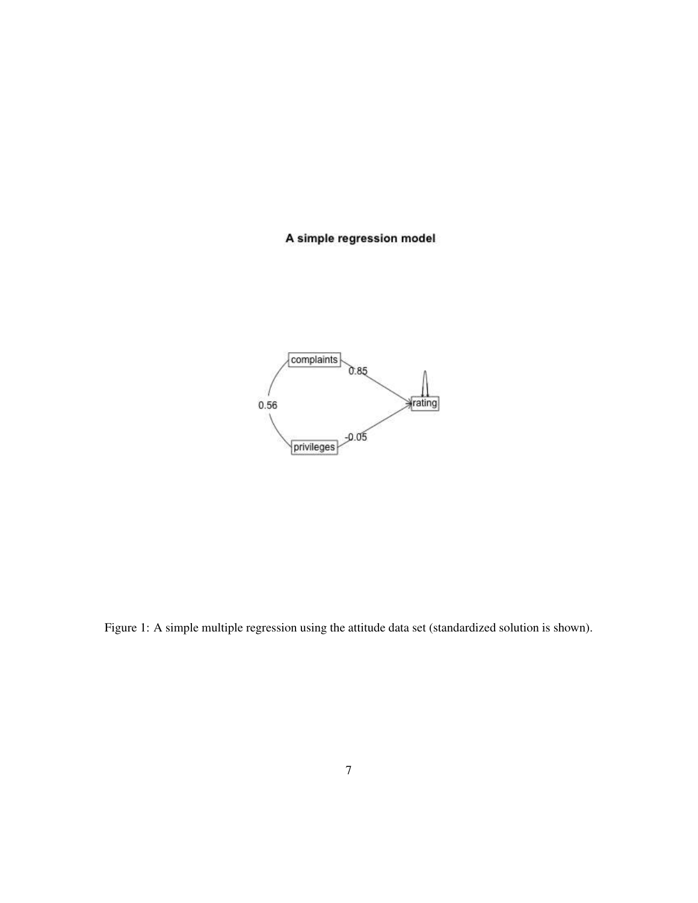# A simple regression model



Figure 1: A simple multiple regression using the attitude data set (standardized solution is shown).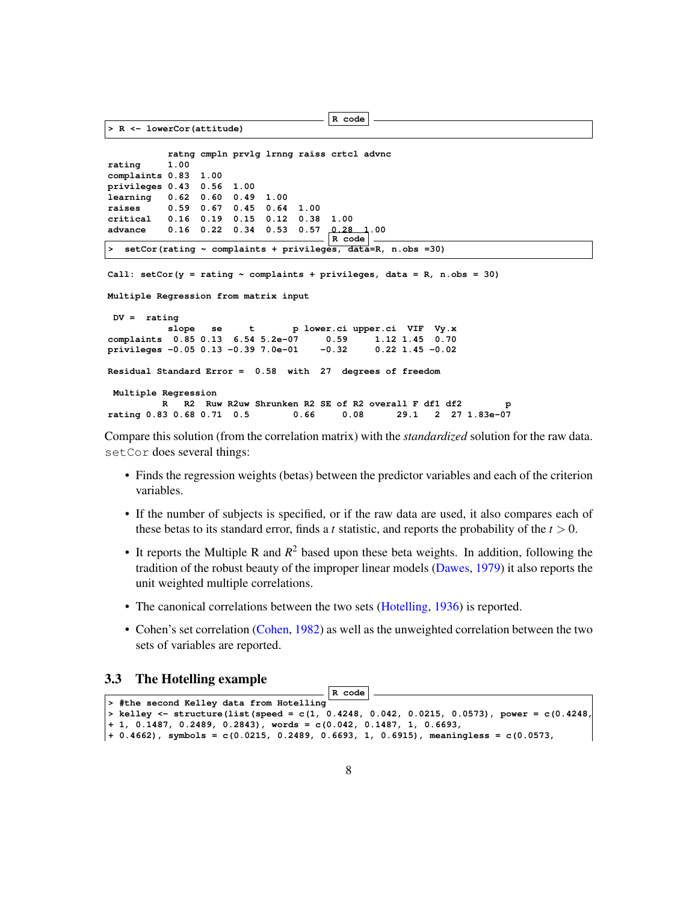```
R code
> R <- lowerCor(attitude)
          ratng cmpln prvlg lrnng raiss crtcl advnc
rating 1.00
complaints 0.83 1.00
privileges 0.43 0.56 1.00
learning 0.62 0.60 0.49 1.00
raises 0.59 0.67 0.45 0.64 1.00
critical 0.16 0.19 0.15 0.12 0.38 1.00
advance 0.16 0.22 0.34 0.53 0.57 0.28 1.00
                                     R code
  > setCor(rating ~ complaints + privileges, data=R, n.obs =30)
Call: setCor(y = rating ~∫ complaints + privileges, data = R, n.obs = 30)
Multiple Regression from matrix input
DV = rating
          slope se t p lower.ci upper.ci VIF Vy.x
complaints 0.85 0.13 6.54 5.2e-07 0.59 1.12 1.45 0.70
privileges -0.05 0.13 -0.39 7.0e-01
Residual Standard Error = 0.58 with 27 degrees of freedom
```

```
Multiple Regression
        R R2 Ruw R2uw Shrunken R2 SE of R2 overall F df1 df2 p
rating 0.83 0.68 0.71 0.5 0.66 0.08 29.1
```
Compare this solution (from the correlation matrix) with the *standardized* solution for the raw data. setCor does several things:

- Finds the regression weights (betas) between the predictor variables and each of the criterion variables.
- If the number of subjects is specified, or if the raw data are used, it also compares each of these betas to its standard error, finds a *t* statistic, and reports the probability of the  $t > 0$ .
- It reports the Multiple R and  $R^2$  based upon these beta weights. In addition, following the tradition of the robust beauty of the improper linear models (Dawes, 1979) it also reports the unit weighted multiple correlations.
- The canonical correlations between the two sets (Hotelling, 1936) is reported.
- Cohen's set correlation (Cohen, 1982) as well as the unweighted correlation between the two sets of variables are reported.

#### 3.3 The Hotelling example

```
R code
> #the second Kelley data from Hotelling
> kelley <- structure(list(speed = c(1, 0.4248, 0.042, 0.0215, 0.0573), power = c(0.4248,
+ 1, 0.1487, 0.2489, 0.2843), words = c(0.042, 0.1487, 1, 0.6693,
+ 0.4662), symbols = c(0.0215, 0.2489, 0.6693, 1, 0.6915), meaningless = c(0.0573,
```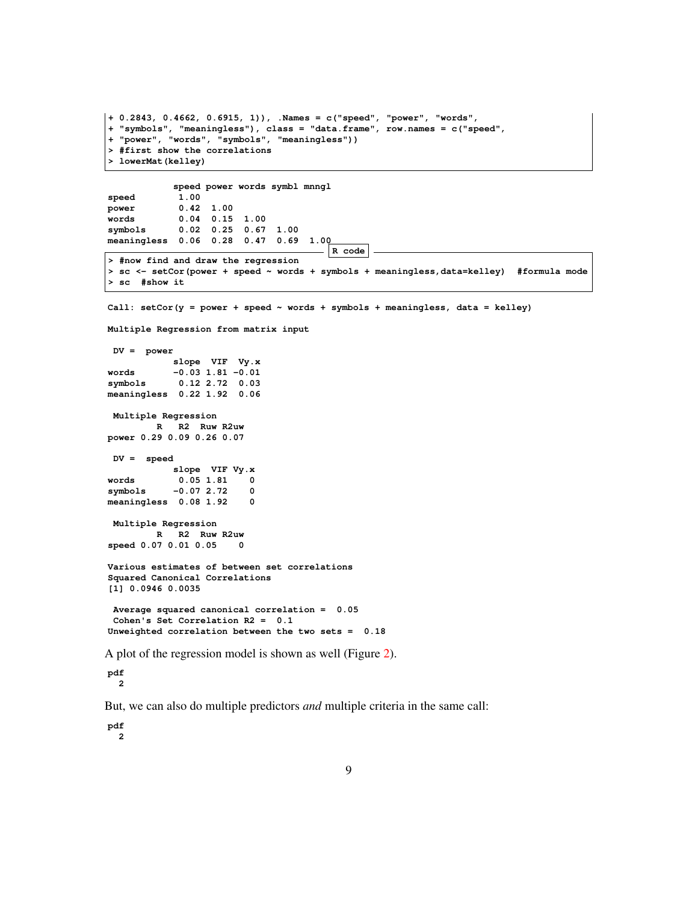```
+ 0.2843, 0.4662, 0.6915, 1)), .Names = c("speed", "power", "words",
+ "symbols", "meaningless"), class = "data.frame", row.names = c("speed",
+ "power", "words", "symbols", "meaningless"))
> #first show the correlations
> lowerMat(kelley)
            speed power words symbl mnngl
speed 1.00<br>
power 0.42
             power 0.42 1.00
words 0.04 0.15 1.00
             symbols 0.02 0.25 0.67 1.00
meaningless 0.06 0.28 0.47 0.69 1.00
                                        R code
> #now find and draw the regression
> sc <- setCor(power + speed ~ words + symbols + meaningless,data=kelley) #formula mode
> sc #show it
Call: setCor(y = power + speed ~ words + symbols + meaningless, data = kelley)
Multiple Regression from matrix input
 DV = power
           slope VIF Vy.x
words -0.03 1.81 -0.01
symbols 0.12 2.72 0.03
meaningless 0.22 1.92 0.06
 Multiple Regression
         R R2 Ruw R2uw
power 0.29 0.09 0.26 0.07
 DV = speed
           slope VIF Vy.x
words 0.05 1.81 0
symbols -0.07 2.72 0
meaningless 0.08 1.92 0
 Multiple Regression
        R R2 Ruw R2uw
speed 0.07 0.01 0.05 0
Various estimates of between set correlations
Squared Canonical Correlations
[1] 0.0946 0.0035
 Average squared canonical correlation = 0.05
 Cohen's Set Correlation R2 = 0.1
Unweighted correlation between the two sets = 0.18
A plot of the regression model is shown as well (Figure 2).
```
**pdf**

**2**

But, we can also do multiple predictors *and* multiple criteria in the same call:

**pdf 2**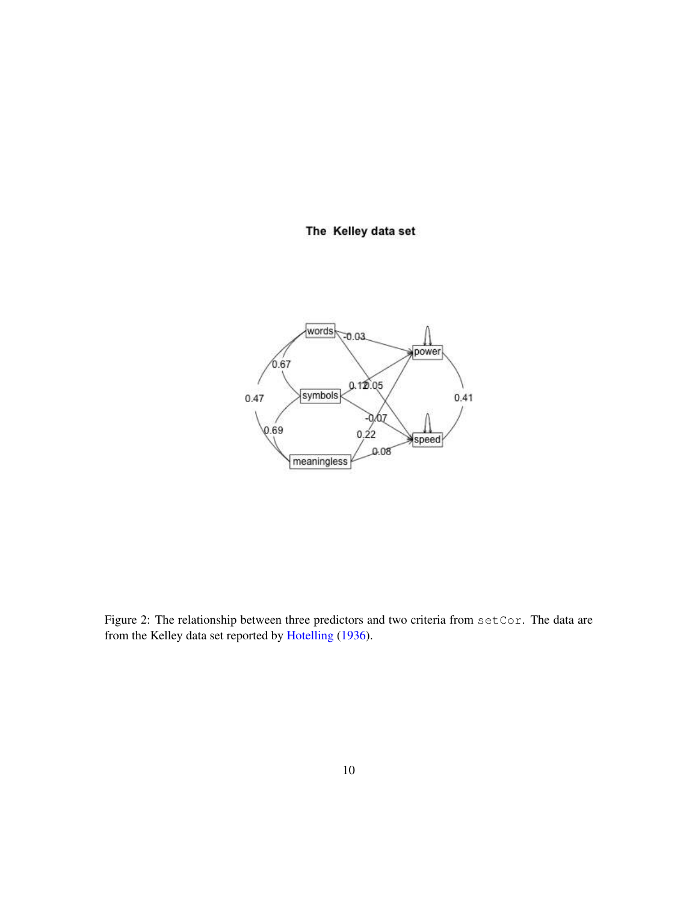# The Kelley data set



Figure 2: The relationship between three predictors and two criteria from setCor. The data are from the Kelley data set reported by Hotelling (1936).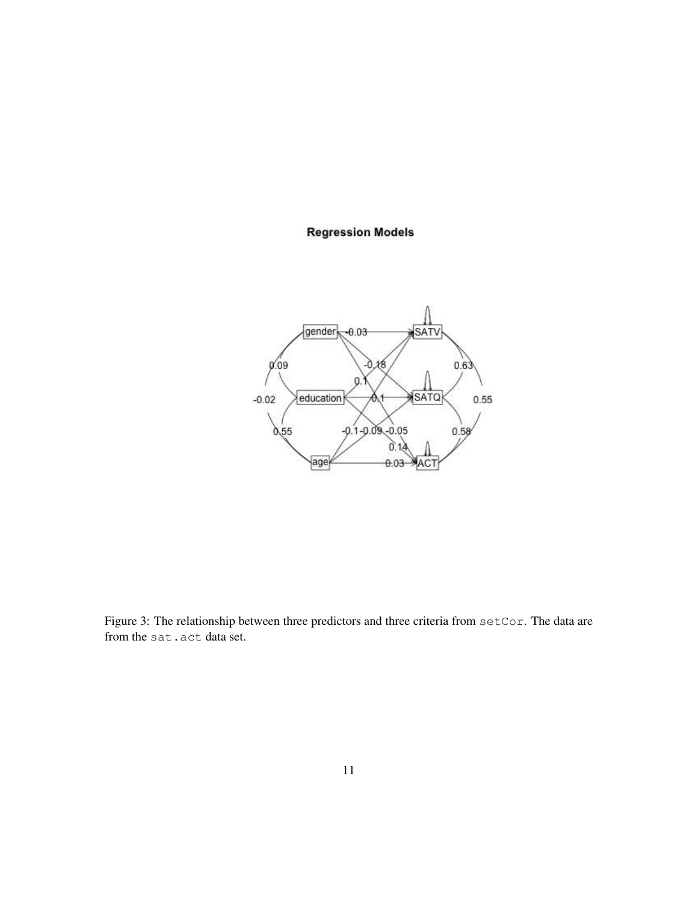### **Regression Models**



Figure 3: The relationship between three predictors and three criteria from setCor. The data are from the sat.act data set.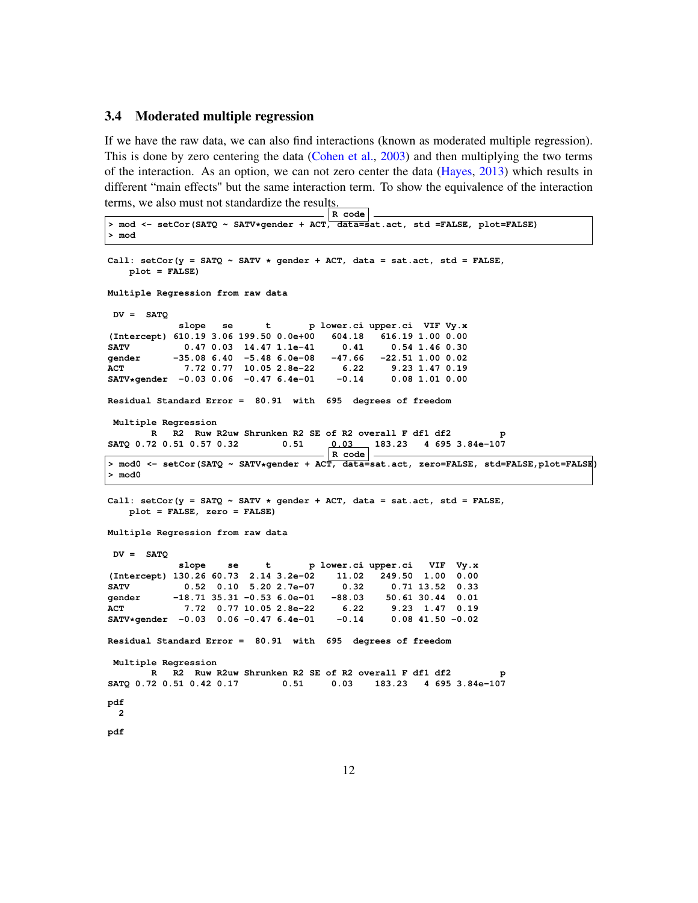#### 3.4 Moderated multiple regression

If we have the raw data, we can also find interactions (known as moderated multiple regression). This is done by zero centering the data (Cohen et al., 2003) and then multiplying the two terms of the interaction. As an option, we can not zero center the data (Hayes, 2013) which results in different "main effects" but the same interaction term. To show the equivalence of the interaction terms, we also must not standardize the results.

```
R code
> mod <- setCor(SATQ ~ SATV*gender + ACT, data=sat.act, std =FALSE, plot=FALSE)
> mod
Call: setCor(y = SATQ ~ SATV * gender + ACT, data = sat.act, std = FALSE,
   plot = FALSE)
Multiple Regression from raw data
DV = SATQ
           slope se t p lower.ci upper.ci VIF Vy.x
(Intercept) 610.19 3.06 199.50 0.0e+00 604.18 616.19 1.00 0.00
SATV 0.47 0.03 14.47 1.1e-41 0.41 0.54 1.46 0.30
gender -35.08 6.40 -5.48 6.0e-08 -47.66 -22.51 1.00 0.02
            ACT 7.72 0.77 10.05 2.8e-22 6.22 9.23 1.47 0.19
SATV*gender -0.03 0.06 -0.47 6.4e-01 -0.14 0.08 1.01 0.00
Residual Standard Error = 80.91 with 695 degrees of freedom
Multiple Regression
       R R2 Ruw R2uw Shrunken R2 SE of R2 overall F df1 df2 p
SATQ 0.72 0.51 0.57 0.32 0.51 0.03 183.23 4 695 3.84e-107
                                     R code
> mod0 <- setCor(SATQ ~ SATV*gender + ACT, data=sat.act, zero=FALSE, std=FALSE,plot=FALSE)
> mod0
Call: setCor(y = SATQ ~ SATV * gender + ACT, data = sat.act, std = FALSE,
   plot = FALSE, zero = FALSE)
Multiple Regression from raw data
DV = SATQ
            slope se t p lower.ci upper.ci VIF Vy.x
(Intercept) 130.26 60.73 2.14 3.2e-02 11.02 249.50 1.00 0.00
SATV 0.52 0.10 5.20 2.7e-07 0.32 0.71 13.52 0.33
gender -18.71 35.31 -0.53 6.0e-01 -88.03 50.61 30.44 0.01
ACT 7.72 0.77 10.05 2.8e-22 6.22 9.23 1.47 0.19
SATV*gender -0.03 0.06 -0.47 6.4e-01 -0.14 0.08 41.50 -0.02
Residual Standard Error = 80.91 with 695 degrees of freedom
Multiple Regression
      R R2 Ruw R2uw Shrunken R2 SE of R2 overall F df1 df2
SATQ 0.72 0.51 0.42 0.17 0.51 0.03 183.23 4 695 3.84e-107
pdf
 2
pdf
```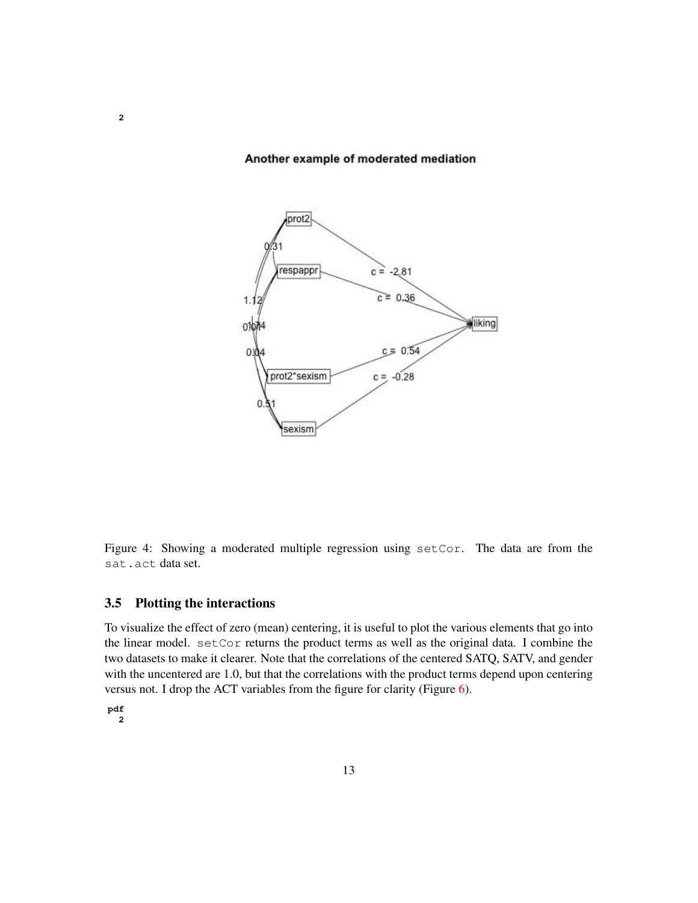#### Another example of moderated mediation



Figure 4: Showing a moderated multiple regression using setCor. The data are from the sat.act data set.

### 3.5 Plotting the interactions

To visualize the effect of zero (mean) centering, it is useful to plot the various elements that go into the linear model. setCor returns the product terms as well as the original data. I combine the two datasets to make it clearer. Note that the correlations of the centered SATQ, SATV, and gender with the uncentered are 1.0, but that the correlations with the product terms depend upon centering versus not. I drop the ACT variables from the figure for clarity (Figure 6).

**pdf 2**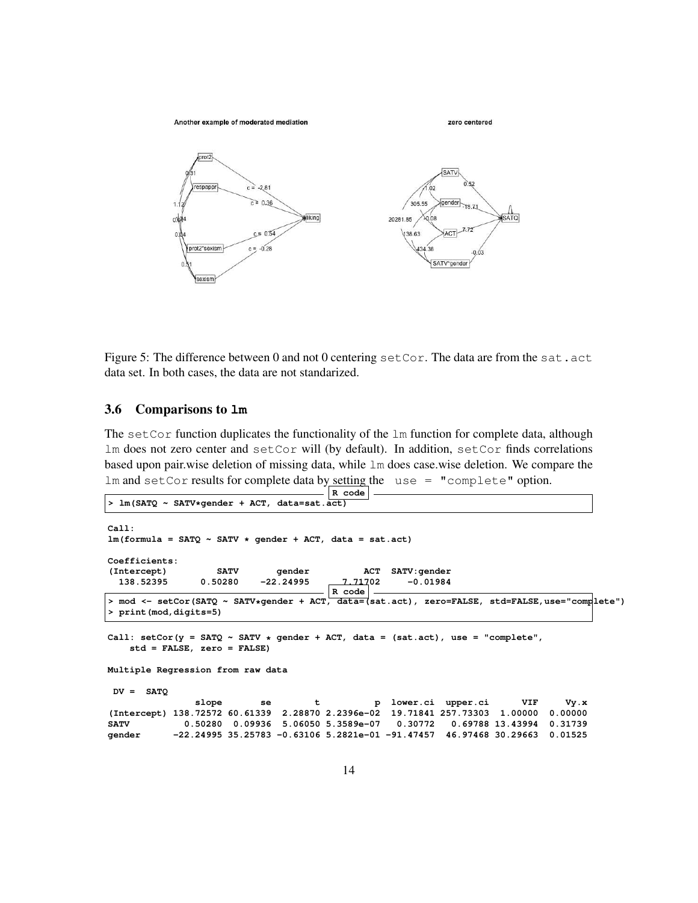

Figure 5: The difference between 0 and not 0 centering  $setCor$ . The data are from the sat.act data set. In both cases, the data are not standarized.

#### 3.6 Comparisons to **lm**

The set Cor function duplicates the functionality of the  $\text{lm}$  function for complete data, although lm does not zero center and setCor will (by default). In addition, setCor finds correlations based upon pair.wise deletion of missing data, while lm does case.wise deletion. We compare the lm and setCor results for complete data by setting the use = "complete" option.

```
R code
> lm(SATQ ~ SATV*gender + ACT, data=sat.act)
Call:
lm(formula = SATQ ~ SATV * gender + ACT, data = sat.act)
Coefficients:
(Intercept) SATV gender ACT SATV:gender
  138.52395 0.50280 -22.24995 7.71702 -0.01984
                                       R code
> mod <- setCor(SATQ ~ SATV*gender + ACT, data=(sat.act), zero=FALSE, std=FALSE,use="complete")
> print(mod,digits=5)
Call: setCor(y = SATQ ~ SATV * gender + ACT, data = (sat.act), use = "complete",
   std = FALSE, zero = FALSE)
Multiple Regression from raw data
DV = SATQ
               slope se t p lower.ci upper.ci VIF Vy.x
(Intercept) 138.72572 60.61339 2.28870 2.2396e-02 19.71841 257.73303 1.00000 0.00000
SATV 0.50280 0.09936 5.06050 5.3589e-07 0.30772 0.69788 13.43994 0.31739
gender -22.24995 35.25783 -0.63106 5.2821e-01 -91.47457 46.97468 30.29663 0.01525
```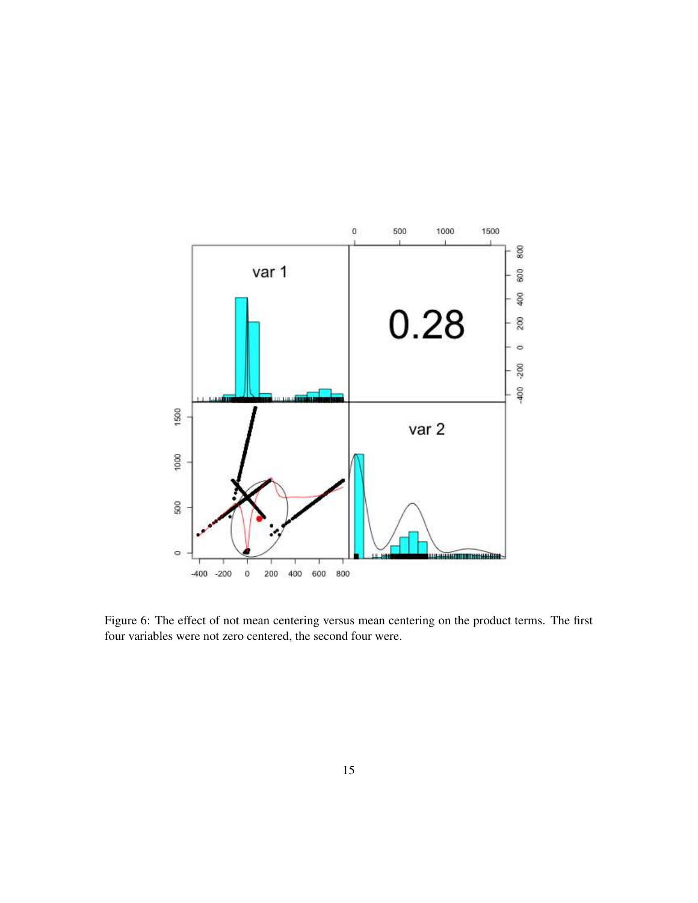

Figure 6: The effect of not mean centering versus mean centering on the product terms. The first four variables were not zero centered, the second four were.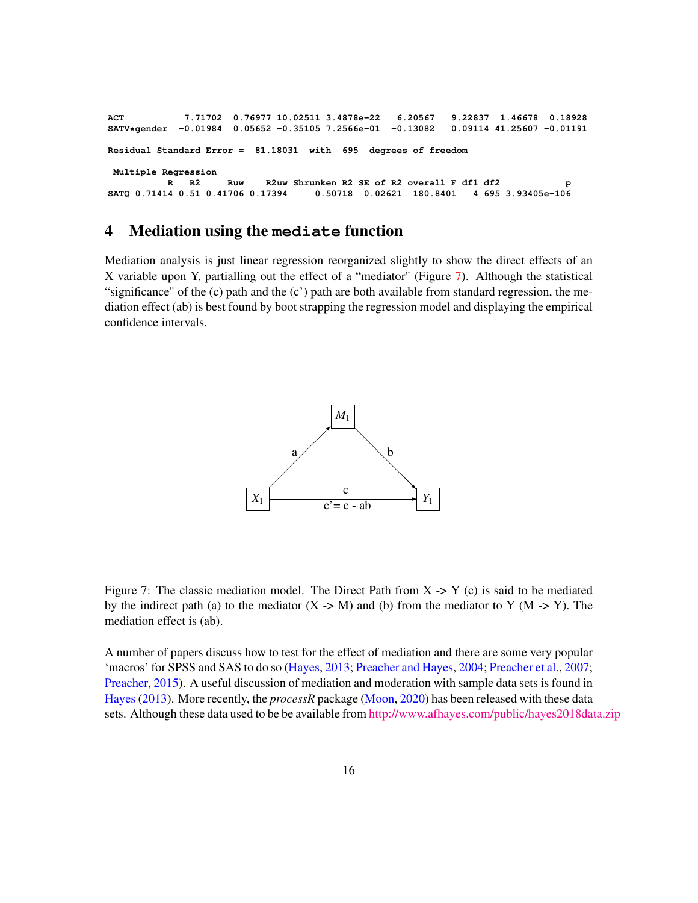**ACT 7.71702 0.76977 10.02511 3.4878e-22 6.20567 9.22837 1.46678 0.18928 SATV\*gender -0.01984 0.05652 -0.35105 7.2566e-01 -0.13082 0.09114 41.25607 -0.01191 Residual Standard Error = 81.18031 with 695 degrees of freedom Multiple Regression R R2 Ruw R2uw Shrunken R2 SE of R2 overall F df1 df2 p** SATQ 0.71414 0.51 0.41706 0.17394 0.50718 0.02621 180.8401

### 4 Mediation using the **mediate** function

Mediation analysis is just linear regression reorganized slightly to show the direct effects of an X variable upon Y, partialling out the effect of a "mediator" (Figure 7). Although the statistical "significance" of the  $(c)$  path and the  $(c')$  path are both available from standard regression, the mediation effect (ab) is best found by boot strapping the regression model and displaying the empirical confidence intervals.



Figure 7: The classic mediation model. The Direct Path from  $X \rightarrow Y$  (c) is said to be mediated by the indirect path (a) to the mediator  $(X \rightarrow M)$  and (b) from the mediator to Y (M  $\rightarrow$  Y). The mediation effect is (ab).

A number of papers discuss how to test for the effect of mediation and there are some very popular 'macros' for SPSS and SAS to do so (Hayes, 2013; Preacher and Hayes, 2004; Preacher et al., 2007; Preacher, 2015). A useful discussion of mediation and moderation with sample data sets is found in Hayes (2013). More recently, the *processR* package (Moon, 2020) has been released with these data sets. Although these data used to be be available from [http://www.afhayes.com/public/hayes2018data.zip]("http://www.afhayes.com/public/hayes2018data.zip")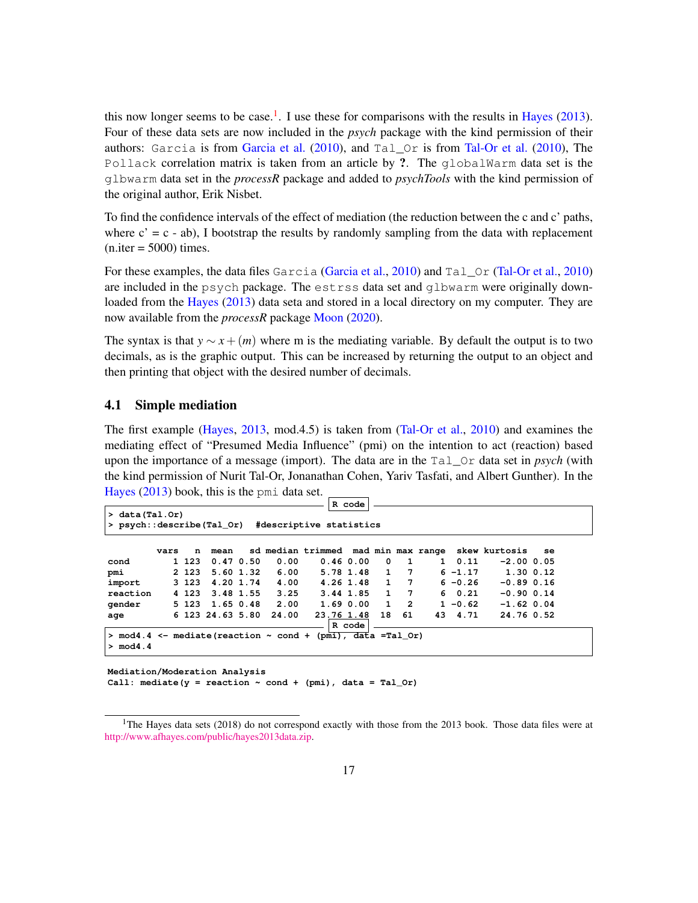this now longer seems to be case.<sup>1</sup>. I use these for comparisons with the results in Hayes (2013). Four of these data sets are now included in the *psych* package with the kind permission of their authors: Garcia is from Garcia et al.  $(2010)$ , and Tal  $\circ$  is from Tal-Or et al.  $(2010)$ , The Pollack correlation matrix is taken from an article by ?. The globalWarm data set is the glbwarm data set in the *processR* package and added to *psychTools* with the kind permission of the original author, Erik Nisbet.

To find the confidence intervals of the effect of mediation (the reduction between the c and c' paths, where  $c' = c - ab$ ), I bootstrap the results by randomly sampling from the data with replacement  $(n.iter = 5000)$  times.

For these examples, the data files Garcia (Garcia et al., 2010) and Tal Or (Tal-Or et al., 2010) are included in the psych package. The estrss data set and glbwarm were originally downloaded from the Hayes (2013) data seta and stored in a local directory on my computer. They are now available from the *processR* package Moon (2020).

The syntax is that  $y \sim x + (m)$  where m is the mediating variable. By default the output is to two decimals, as is the graphic output. This can be increased by returning the output to an object and then printing that object with the desired number of decimals.

#### 4.1 Simple mediation

The first example (Hayes, 2013, mod.4.5) is taken from (Tal-Or et al., 2010) and examines the mediating effect of "Presumed Media Influence" (pmi) on the intention to act (reaction) based upon the importance of a message (import). The data are in the Tal\_Or data set in *psych* (with the kind permission of Nurit Tal-Or, Jonanathan Cohen, Yariv Tasfati, and Albert Gunther). In the Hayes (2013) book, this is the pmi data set.

|                                                                    |      |         |                  |       |                         | R code    |    |                 |              |            |                                                   |    |  |
|--------------------------------------------------------------------|------|---------|------------------|-------|-------------------------|-----------|----|-----------------|--------------|------------|---------------------------------------------------|----|--|
| $> data (Tal.$ Or)                                                 |      |         |                  |       |                         |           |    |                 |              |            |                                                   |    |  |
| > psych::describe(Tal Or)                                          |      |         |                  |       | #descriptive statistics |           |    |                 |              |            |                                                   |    |  |
|                                                                    |      |         |                  |       |                         |           |    |                 |              |            |                                                   |    |  |
|                                                                    | vars | n       | mean             |       |                         |           |    |                 |              |            | sd median trimmed mad min max range skew kurtosis | se |  |
| cond                                                               |      | 1 123   | 0.470.50         | 0.00  | 0.460.00                |           | 0  | 1               | $\mathbf{1}$ | 0.11       | $-2.00$ 0.05                                      |    |  |
| pmi                                                                |      | 2 1 2 3 | $5.60$ 1.32      | 6.00  |                         | 5.78 1.48 | 1  | $7\phantom{.0}$ |              | $6 - 1.17$ | $1.30$ 0.12                                       |    |  |
| import                                                             |      | 3 1 2 3 | 4.20 1.74        | 4.00  |                         | 4.26 1.48 | 1  | $7\phantom{.0}$ |              | $6 - 0.26$ | $-0.89$ $0.16$                                    |    |  |
| reaction                                                           |      | 4 1 2 3 | 3.48 1.55        | 3.25  | 3.44 1.85               |           | 1  | $7\phantom{.0}$ |              | 60.21      | $-0.90$ $0.14$                                    |    |  |
| qender                                                             |      | 5 123   | 1.65 0.48        | 2.00  |                         | 1.690.00  | 1  | $\overline{2}$  |              | $1 - 0.62$ | $-1.62$ 0.04                                      |    |  |
| age                                                                |      |         | 6 123 24.63 5.80 | 24.00 | 23.76 1.48              |           | 18 | 61              |              | 43 4.71    | 24.76 0.52                                        |    |  |
|                                                                    |      |         |                  |       |                         | R code    |    |                 |              |            |                                                   |    |  |
| $>$ mod4.4 <- mediate (reaction $\sim$ cond + (pmi), data =Tal Or) |      |         |                  |       |                         |           |    |                 |              |            |                                                   |    |  |
| $>$ mod4.4                                                         |      |         |                  |       |                         |           |    |                 |              |            |                                                   |    |  |
|                                                                    |      |         |                  |       |                         |           |    |                 |              |            |                                                   |    |  |

**Mediation/Moderation Analysis** Call: mediate( $y =$  reaction  $\sim$  cond + (pmi), data = Tal\_Or)

<sup>&</sup>lt;sup>1</sup>The Hayes data sets (2018) do not correspond exactly with those from the 2013 book. Those data files were at [http://www.afhayes.com/public/hayes2013data.zip.]("http://www.afhayes.com/public/hayes2013data.zip")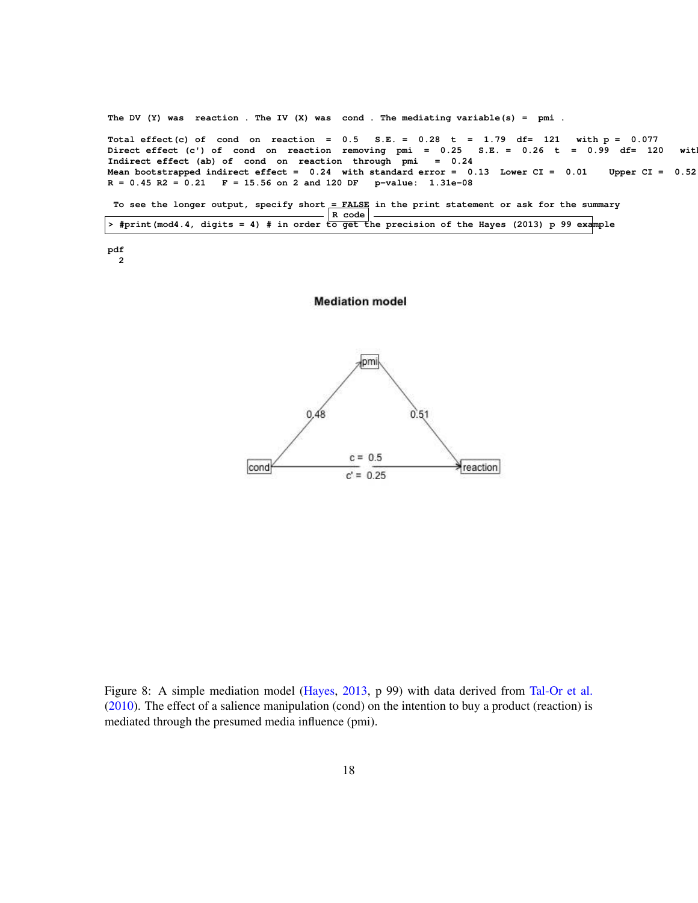**The DV (Y) was reaction . The IV (X) was cond . The mediating variable(s) = pmi . Total effect(c) of cond on reaction = 0.5 S.E. = 0.28 t = 1.79 df= 121 with p = 0.077 Direct effect (c') of cond on reaction removing pmi = 0.25 S.E. = 0.26 t = 0.99 df= 120 with Indirect effect (ab) of cond on reaction through pmi = 0.24 Mean bootstrapped indirect effect = 0.24 with standard error = 0.13 Lower CI = 0.01 Upper CI = 0.52 R = 0.45 R2 = 0.21 F = 15.56 on 2 and 120 DF p-value: 1.31e-08** To see the longer output, specify short = FALSE in the print statement or ask for the summary

|                                                                                                |  |  |  | $R \text{ code}$ |  |  |  |  |  |
|------------------------------------------------------------------------------------------------|--|--|--|------------------|--|--|--|--|--|
| > #print (mod4.4, digits = 4) # in order to get the precision of the Hayes (2013) p 99 example |  |  |  |                  |  |  |  |  |  |

**pdf 2**

#### **Mediation model**



Figure 8: A simple mediation model (Hayes, 2013, p 99) with data derived from Tal-Or et al.  $(2010)$ . The effect of a salience manipulation (cond) on the intention to buy a product (reaction) is mediated through the presumed media influence (pmi).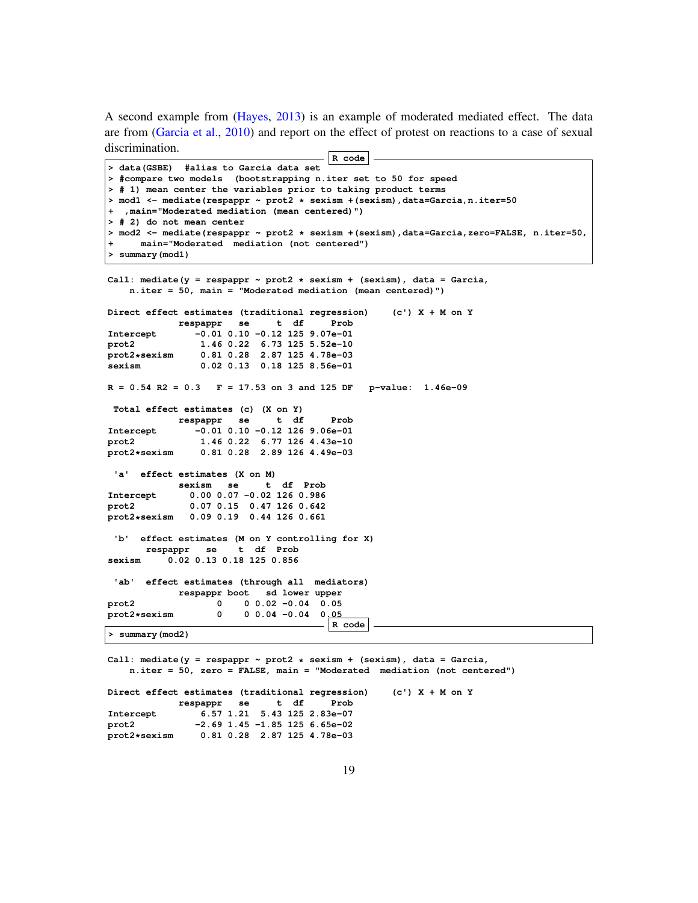A second example from (Hayes, 2013) is an example of moderated mediated effect. The data are from (Garcia et al., 2010) and report on the effect of protest on reactions to a case of sexual discrimination.

```
R code
> data(GSBE) #alias to Garcia data set
> #compare two models (bootstrapping n.iter set to 50 for speed
> # 1) mean center the variables prior to taking product terms
> mod1 <- mediate(respappr ~ prot2 * sexism +(sexism),data=Garcia,n.iter=50
+ ,main="Moderated mediation (mean centered)")
> # 2) do not mean center
> mod2 <- mediate(respappr ~ prot2 * sexism +(sexism),data=Garcia,zero=FALSE, n.iter=50,
     + main="Moderated mediation (not centered")
> summary(mod1)
Call: mediate(y = respappr ~ prot2 * sexism + (sexism), data = Garcia,
   n.iter = 50, main = "Moderated mediation (mean centered)")
Direct effect estimates (traditional regression) (c') X + M on Y
            respappr se t df Prob
Intercept -0.01 0.10 -0.12 125 9.07e-01
prot2 1.46 0.22 6.73 125 5.52e-10
prot2*sexism 0.81 0.28 2.87 125 4.78e-03
sexism 0.02 0.13 0.18 125 8.56e-01
R = 0.54 R2 = 0.3 F = 17.53 on 3 and 125 DF p-value: 1.46e-09
 Total effect estimates (c) (X on Y)
            respappr se t df Prob
Intercept -0.01 0.10 -0.12 126 9.06e-01
prot2 1.46 0.22 6.77 126 4.43e-10
                prot2*sexism 0.81 0.28 2.89 126 4.49e-03
 'a' effect estimates (X on M)
            sexism se t df Prob
Intercept 0.00 0.07 -0.02 126 0.986<br>prot2 0.07 0.15 0.47 126 0.642
              prot2 0.07 0.15 0.47 126 0.642
prot2*sexism 0.09 0.19 0.44 126 0.661
 'b' effect estimates (M on Y controlling for X)
      respappr se t df Prob
sexism 0.02 0.13 0.18 125 0.856
 'ab' effect estimates (through all mediators)
            respappr boot sd lower upper
prot2 0 0 0.02 -0.04 0.05
prot2*sexism 0 0 0.04 -0.04 0.05
                                       R code
> summary(mod2)
```
**Call: mediate(y = respappr ~ prot2 \* sexism + (sexism), data = Garcia, n.iter = 50, zero = FALSE, main = "Moderated mediation (not centered") Direct effect estimates (traditional regression) (c') X + M on Y respappr se t df Prob Intercept 6.57 1.21 5.43 125 2.83e-07 prot2 -2.69 1.45 -1.85 125 6.65e-02 prot2\*sexism 0.81 0.28 2.87 125 4.78e-03**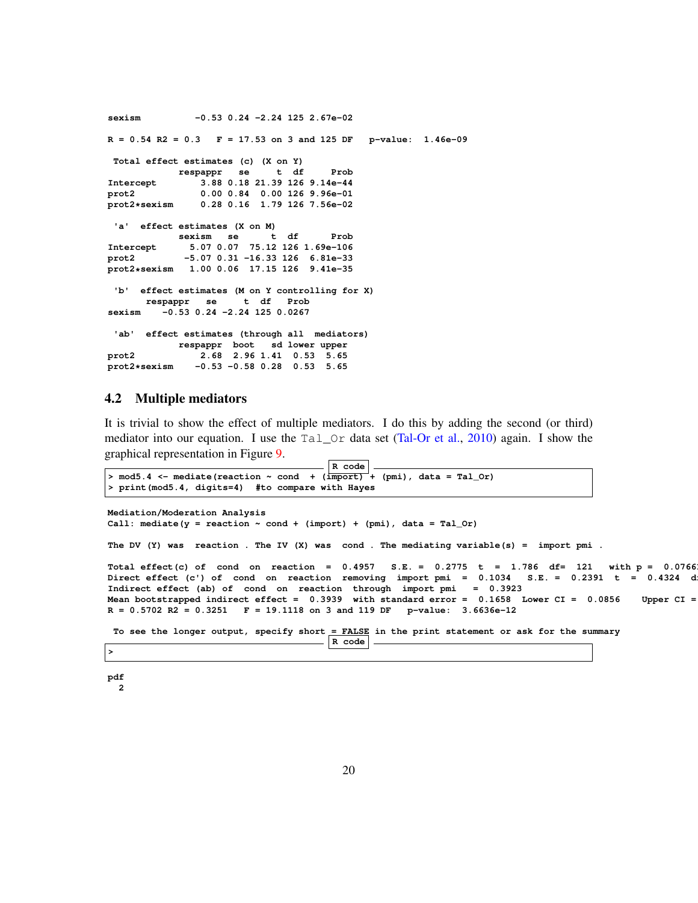**sexism -0.53 0.24 -2.24 125 2.67e-02 R = 0.54 R2 = 0.3 F = 17.53 on 3 and 125 DF p-value: 1.46e-09 Total effect estimates (c) (X on Y) respappr se t df Prob Intercept 3.88 0.18 21.39 126 9.14e-44 prot2 0.00 0.84 0.00 126 9.96e-01 prot2\*sexism 0.28 0.16 1.79 126 7.56e-02 'a' effect estimates (X on M) sexism se t df Prob Intercept 5.07 0.07 75.12 126 1.69e-106 prot2 -5.07 0.31 -16.33 126 6.81e-33 prot2\*sexism 1.00 0.06 17.15 126 9.41e-35 'b' effect estimates (M on Y controlling for X) respappr se t df Prob sexism -0.53 0.24 -2.24 125 0.0267 'ab' effect estimates (through all mediators) respappr boot sd lower upper prot2 2.68 2.96 1.41 0.53 5.65 prot2\*sexism -0.53 -0.58 0.28 0.53 5.65**

### 4.2 Multiple mediators

It is trivial to show the effect of multiple mediators. I do this by adding the second (or third) mediator into our equation. I use the  $Ta\_Or$  data set (Tal-Or et al., 2010) again. I show the graphical representation in Figure 9.

 $\vert$  R code  $\vert$ .

```
> mod5.4 <- mediate(reaction \sim cond + (import)^{-}+ (pmi), data = Tal_Or)
> print(mod5.4, digits=4) #to compare with Hayes
Mediation/Moderation Analysis
Call: mediate(y = reaction \sim cond + (import) + (pmi), data = Tal_Or)
The DV (Y) was reaction . The IV (X) was cond . The mediating variable(s) = import pmi .
Total effect(c) of cond on reaction = 0.4957 S.E. = 0.2775 t = 1.786 df= 121 with p = 0.0766<br>Direct effect (c') of cond on reaction removing import pmi = 0.1034 S.E. = 0.2391 t = 0.4324 d
Direct effect (c') of cond on reaction removing import pmi = 0.1034
Indirect effect (ab) of cond on reaction through import pmi = 0.3923
Mean bootstrapped indirect effect = 0.3939 with standard error = 0.1658 Lower CI = 0.0856 Upper CI =
R = 0.5702 R2 = 0.3251 F = 19.1118 on 3 and 119 DF p-value: 3.6636e-12
 To see the longer output, specify short = FALSE in the print statement or ask for the summary
                                           R code
```
**>**

```
pdf
  2
```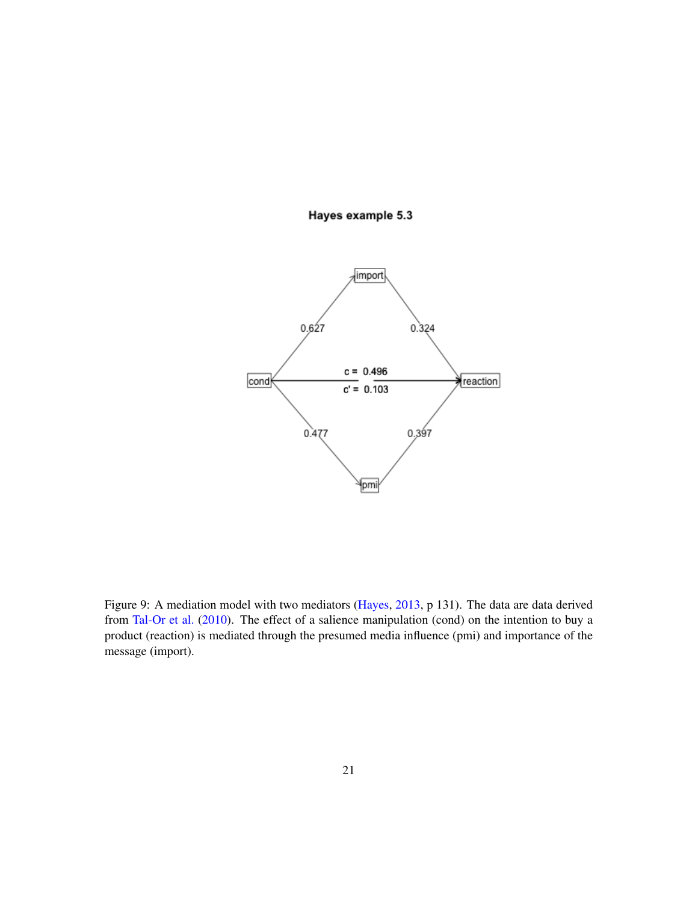### Hayes example 5.3



Figure 9: A mediation model with two mediators (Hayes, 2013, p 131). The data are data derived from Tal-Or et al. (2010). The effect of a salience manipulation (cond) on the intention to buy a product (reaction) is mediated through the presumed media influence (pmi) and importance of the message (import).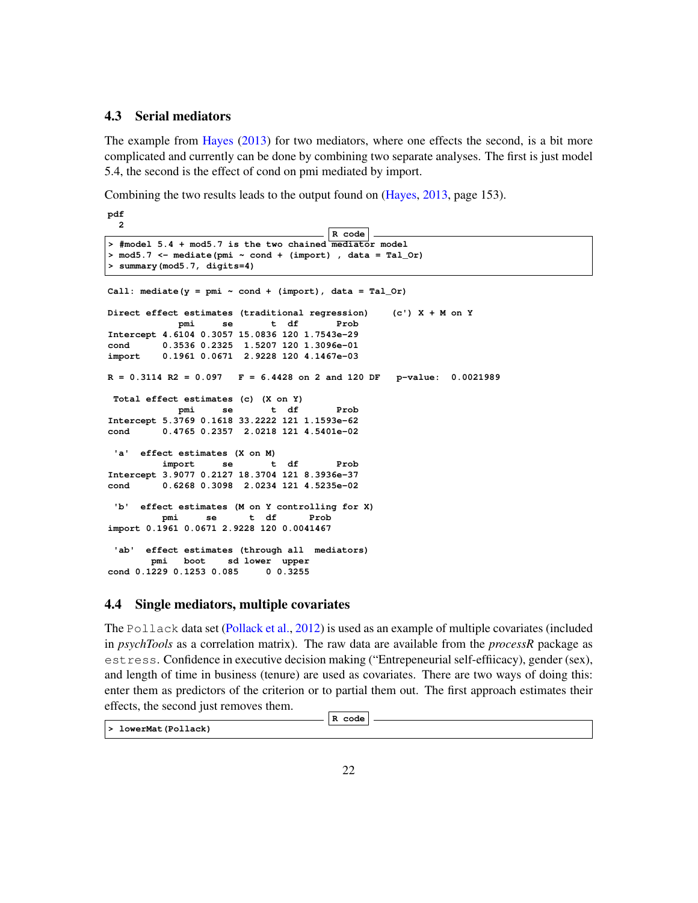### 4.3 Serial mediators

The example from Hayes (2013) for two mediators, where one effects the second, is a bit more complicated and currently can be done by combining two separate analyses. The first is just model 5.4, the second is the effect of cond on pmi mediated by import.

Combining the two results leads to the output found on (Hayes, 2013, page 153).

**pdf 2**

```
R code
> #model 5.4 + mod5.7 is the two chained mediator model
> mod5.7 <- mediate(pmi ~ cond + (import) , data = Tal_Or)
> summary(mod5.7, digits=4)
Call: mediate(y = pmi \sim cond + (import), data = Tal_Or)
Direct effect estimates (traditional regression) (c') X + M on Y
           pmi se t df Prob
Intercept 4.6104 0.3057 15.0836 120 1.7543e-29
cond 0.3536 0.2325 1.5207 120 1.3096e-01
import 0.1961 0.0671 2.9228 120 4.1467e-03
R = 0.3114 R2 = 0.097 F = 6.4428 on 2 and 120 DF p-value: 0.0021989
Total effect estimates (c) (X on Y)
           pmi se t df Prob
Intercept 5.3769 0.1618 33.2222 121 1.1593e-62
cond 0.4765 0.2357 2.0218 121 4.5401e-02
 'a' effect estimates (X on M)
         import se t df Prob
Intercept 3.9077 0.2127 18.3704 121 8.3936e-37
cond 0.6268 0.3098 2.0234 121 4.5235e-02
 'b' effect estimates (M on Y controlling for X)
        pmi se t df Prob
import 0.1961 0.0671 2.9228 120 0.0041467
 'ab' effect estimates (through all mediators)
      pmi boot sd lower upper
cond 0.1229 0.1253 0.085 0 0.3255
```
#### 4.4 Single mediators, multiple covariates

The Pollack data set (Pollack et al., 2012) is used as an example of multiple covariates (included in *psychTools* as a correlation matrix). The raw data are available from the *processR* package as estress. Confidence in executive decision making ("Entrepeneurial self-effiicacy), gender (sex), and length of time in business (tenure) are used as covariates. There are two ways of doing this: enter them as predictors of the criterion or to partial them out. The first approach estimates their effects, the second just removes them.

|                     | code<br>R. |  |
|---------------------|------------|--|
| > lowerMat(Pollack) |            |  |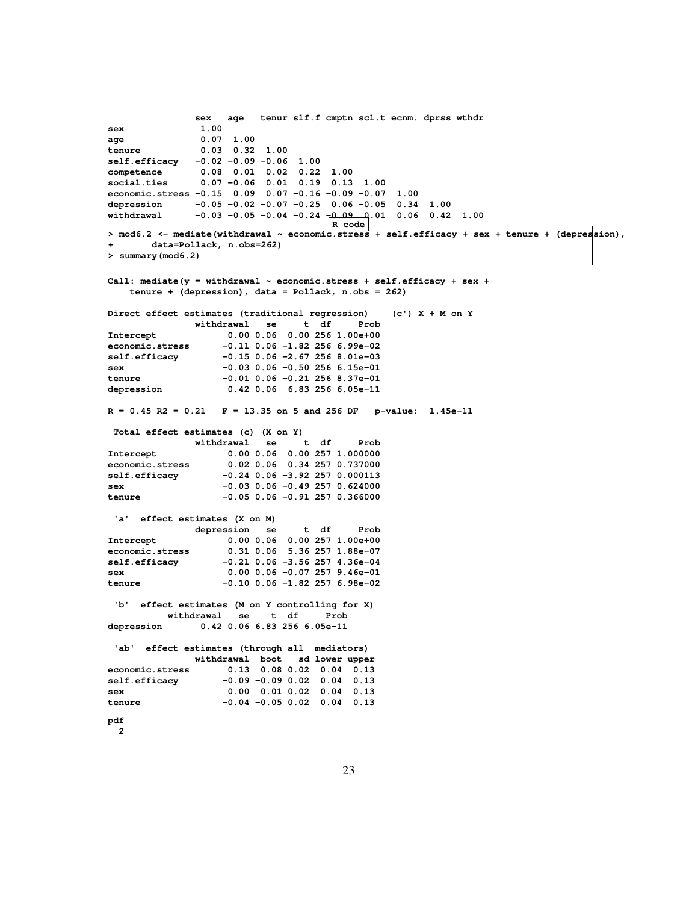**sex age tenur slf.f cmptn scl.t ecnm. dprss wthdr sex 1.00 age 0.07 1.00 tenure 0.03 0.32 1.00 self.efficacy -0.02 -0.09 -0.06 1.00 competence 0.08 0.01 0.02 0.22 1.00 social.ties 0.07 -0.06 0.01 0.19 0.13 1.00 economic.stress -0.15 0.09 0.07 -0.16 -0.09 -0.07 1.00 depression -0.05 -0.02 -0.07 -0.25 0.06 -0.05 0.34 1.00 withdrawal -0.03 -0.05 -0.04 -0.24 -0.09 0.01 0.06 0.42 1.00 R code > mod6.2 <- mediate(withdrawal ~ economic.stress + self.efficacy + sex + tenure + (depression), + data=Pollack, n.obs=262) > summary(mod6.2) Call: mediate(y = withdrawal ~ economic.stress + self.efficacy + sex + tenure + (depression), data = Pollack, n.obs = 262) Direct effect estimates (traditional regression) (c') X + M on Y withdrawal se t df Prob Intercept 0.00 0.06 0.00 256 1.00e+00 economic.stress -0.11 0.06 -1.82 256 6.99e-02 self.efficacy -0.15 0.06 -2.67 256 8.01e-03 sex -0.03 0.06 -0.50 256 6.15e-01 tenure -0.01 0.06 -0.21 256 8.37e-01 depression 0.42 0.06 6.83 256 6.05e-11 R = 0.45 R2 = 0.21 F = 13.35 on 5 and 256 DF p-value: 1.45e-11 Total effect estimates (c) (X on Y) withdrawal se t df Prob Intercept 0.00 0.06 0.00 257 1.000000 economic.stress 0.02 0.06 0.34 257 0.737000 self.efficacy -0.24 0.06 -3.92 257 0.000113 sex -0.03 0.06 -0.49 257 0.624000 tenure -0.05 0.06 -0.91 257 0.366000 'a' effect estimates (X on M) depression se t df Prob Intercept 0.00 0.06 0.00 257 1.00e+00 economic.stress 0.31 0.06 5.36 257 1.88e-07 self.efficacy -0.21 0.06 -3.56 257 4.36e-04 sex 0.00 0.06 -0.07 257 9.46e-01 tenure -0.10 0.06 -1.82 257 6.98e-02 'b' effect estimates (M on Y controlling for X) withdrawal se t df Prob depression 0.42 0.06 6.83 256 6.05e-11 'ab' effect estimates (through all mediators) withdrawal boot sd lower upper economic.stress 0.13 0.08 0.02 0.04 0.13 self.efficacy -0.09 -0.09 0.02 0.04 0.13 sex 0.00 0.01 0.02 0.04 0.13 tenure -0.04 -0.05 0.02 0.04 0.13 pdf 2**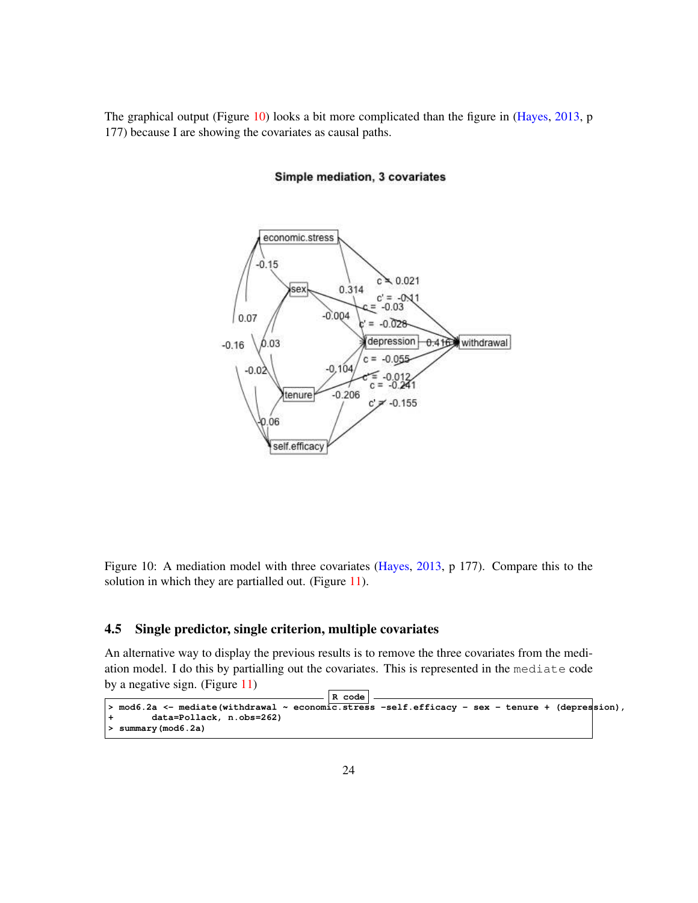The graphical output (Figure 10) looks a bit more complicated than the figure in (Hayes, 2013, p 177) because I are showing the covariates as causal paths.



#### Simple mediation, 3 covariates

Figure 10: A mediation model with three covariates (Hayes, 2013, p 177). Compare this to the solution in which they are partialled out. (Figure 11).

### 4.5 Single predictor, single criterion, multiple covariates

An alternative way to display the previous results is to remove the three covariates from the mediation model. I do this by partialling out the covariates. This is represented in the mediate code by a negative sign. (Figure 11)

```
R code
> mod6.2a <- mediate(withdrawal ~ economic.stress -self.efficacy - sex - tenure + (depression),
+ data=Pollack, n.obs=262)
> summary(mod6.2a)
```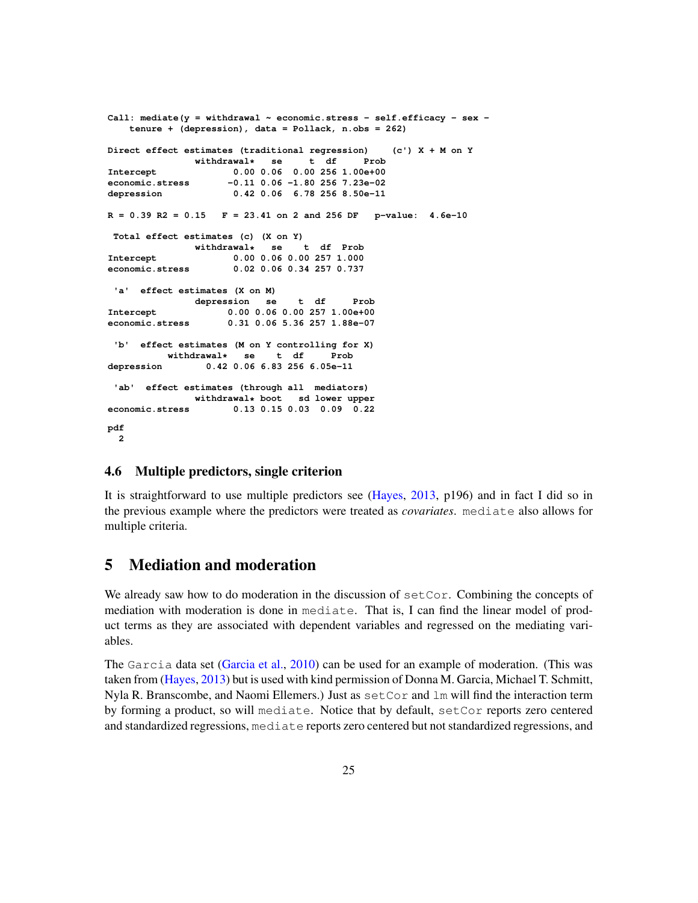```
Call: mediate(y = withdrawal ~ economic.stress - self.efficacy - sex -
   tenure + (depression), data = Pollack, n.obs = 262)
Direct effect estimates (traditional regression) (c') X + M on Y
             withdrawal* se t df Prob
Intercept 0.00 0.06 0.00 256 1.00e+00
economic.stress -0.11 0.06 -1.80 256 7.23e-02
depression 0.42 0.06 6.78 256 8.50e-11
R = 0.39 R2 = 0.15 F = 23.41 on 2 and 256 DF p-value: 4.6e-10
Total effect estimates (c) (X on Y)
             withdrawal* se t df Prob
Intercept 0.00 0.06 0.00 257 1.000
economic.stress 0.02 0.06 0.34 257 0.737
'a' effect estimates (X on M)
             depression se t df Prob
Intercept 0.00 0.06 0.00 257 1.00e+00
economic.stress 0.31 0.06 5.36 257 1.88e-07
 'b' effect estimates (M on Y controlling for X)
         withdrawal* se t df Prob
depression 0.42 0.06 6.83 256 6.05e-11
 'ab' effect estimates (through all mediators)
             withdrawal* boot sd lower upper
economic.stress 0.13 0.15 0.03 0.09 0.22
pdf
 2
```
### 4.6 Multiple predictors, single criterion

It is straightforward to use multiple predictors see (Hayes, 2013, p196) and in fact I did so in the previous example where the predictors were treated as *covariates*. mediate also allows for multiple criteria.

# 5 Mediation and moderation

We already saw how to do moderation in the discussion of  $setCor$ . Combining the concepts of mediation with moderation is done in mediate. That is, I can find the linear model of product terms as they are associated with dependent variables and regressed on the mediating variables.

The Garcia data set (Garcia et al., 2010) can be used for an example of moderation. (This was taken from (Hayes, 2013) but is used with kind permission of Donna M. Garcia, Michael T. Schmitt, Nyla R. Branscombe, and Naomi Ellemers.) Just as  $setCor$  and  $lm$  will find the interaction term by forming a product, so will mediate. Notice that by default, setCor reports zero centered and standardized regressions, mediate reports zero centered but not standardized regressions, and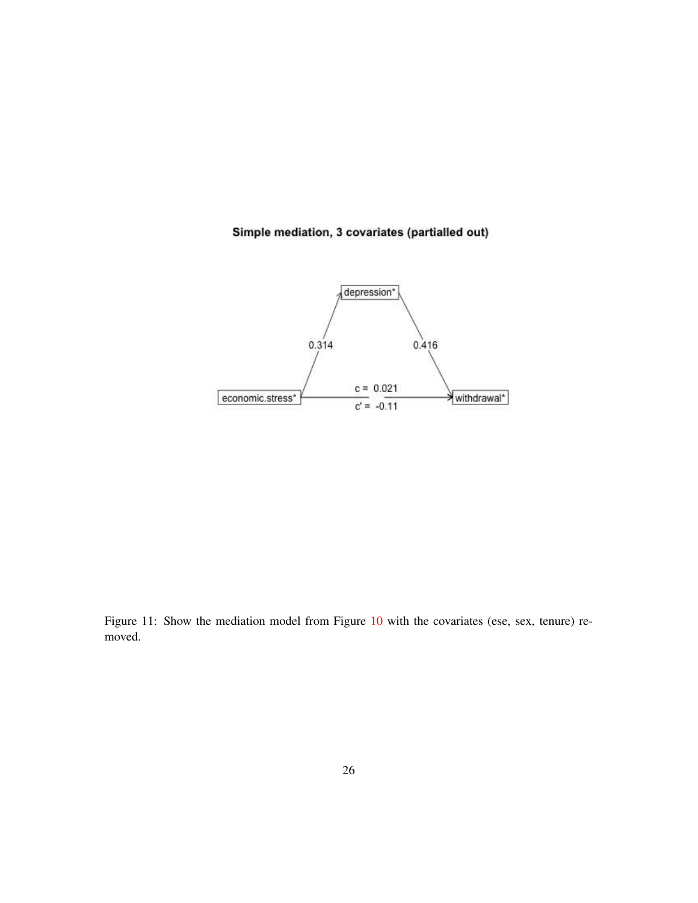### Simple mediation, 3 covariates (partialled out)



Figure 11: Show the mediation model from Figure 10 with the covariates (ese, sex, tenure) removed.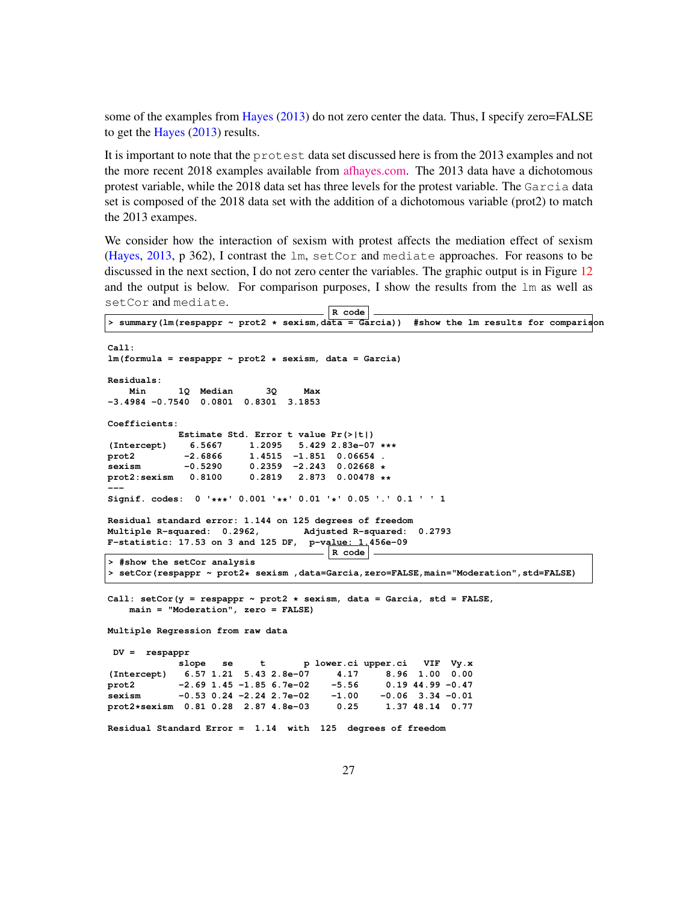some of the examples from Hayes (2013) do not zero center the data. Thus, I specify zero=FALSE to get the Hayes (2013) results.

It is important to note that the protest data set discussed here is from the 2013 examples and not the more recent 2018 examples available from [afhayes.com.](http://afhayes.com) The 2013 data have a dichotomous protest variable, while the 2018 data set has three levels for the protest variable. The Garcia data set is composed of the 2018 data set with the addition of a dichotomous variable (prot2) to match the 2013 exampes.

We consider how the interaction of sexism with protest affects the mediation effect of sexism (Hayes, 2013, p 362), I contrast the lm, setCor and mediate approaches. For reasons to be discussed in the next section, I do not zero center the variables. The graphic output is in Figure 12 and the output is below. For comparison purposes, I show the results from the  $\text{lm}$  as well as setCor and mediate.

```
R code
> summary(lm(respappr ~ prot2 * sexism,data = Garcia)) #show the lm results for comparison
Call:
lm(formula = respappr ~ prot2 * sexism, data = Garcia)
Residuals:
   Min 1Q Median 3Q Max
-3.4984 -0.7540 0.0801 0.8301 3.1853
Coefficients:
            Estimate Std. Error t value Pr(>|t|)
(Intercept) 6.5667 1.2095 5.429 2.83e-07 ***
                        prot2 -2.6866 1.4515 -1.851 0.06654 .
sexism -0.5290 0.2359 -2.243 0.02668 *
                        prot2:sexism 0.8100 0.2819 2.873 0.00478 **
---
Signif. codes: 0 '***' 0.001 '**' 0.01 '*' 0.05 '.' 0.1 ' ' 1
Residual standard error: 1.144 on 125 degrees of freedom
Multiple R-squared: 0.2962, Adjusted R-squared: 0.2793
F-statistic: 17.53 on 3 and 125 DF, p-value: 1.456e-09
                                      R code
> #show the setCor analysis
> setCor(respappr ~ prot2* sexism ,data=Garcia,zero=FALSE,main="Moderation",std=FALSE)
Call: setCor(y = respappr ~ prot2 * sexism, data = Garcia, std = FALSE,
   main = "Moderation", zero = FALSE)
Multiple Regression from raw data
DV = respappr
            slope se t p lower.ci upper.ci VIF Vy.x
(Intercept) 6.57 1.21 5.43 2.8e-07 4.17 8.96 1.00 0.00
prot2 -2.69 1.45 -1.85 6.7e-02 -5.56 0.19 44.99 -0.47
sexism -0.53 0.24 -2.24 2.7e-02 -1.00 -0.06 3.34 -0.01
prot2*sexism 0.81 0.28 2.87 4.8e-03 0.25 1.37 48.14 0.77
Residual Standard Error = 1.14 with 125 degrees of freedom
```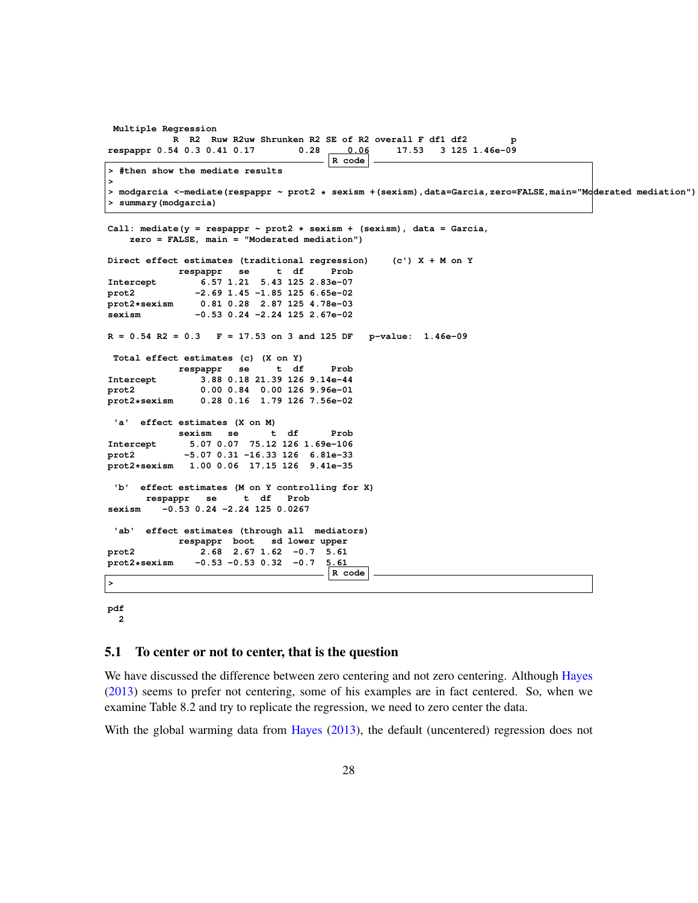```
Multiple Regression
          R R2 Ruw R2uw Shrunken R2 SE of R2 overall F df1 df2 p
respappr 0.54 0.3 0.41 0.17 0.28 0.06 17.53 3 125 1.46e-09
                                     R code
> #then show the mediate results
>
> modgarcia <-mediate(respappr ~ prot2 * sexism +(sexism),data=Garcia,zero=FALSE,main="Moderated mediation")
> summary(modgarcia)
Call: mediate(y = respappr ~ prot2 * sexism + (sexism), data = Garcia,
   zero = FALSE, main = "Moderated mediation")
Direct effect estimates (traditional regression) (c') X + M on Y
           respappr se t df Prob
Intercept 6.57 1.21 5.43 125 2.83e-07
prot2 -2.69 1.45 -1.85 125 6.65e-02
prot2*sexism 0.81 0.28 2.87 125 4.78e-03
              sexism -0.53 0.24 -2.24 125 2.67e-02
R = 0.54 R2 = 0.3 F = 17.53 on 3 and 125 DF p-value: 1.46e-09
Total effect estimates (c) (X on Y)
           respappr se t df Prob
Intercept 3.88 0.18 21.39 126 9.14e-44
prot2 0.00 0.84 0.00 126 9.96e-01
               prot2*sexism 0.28 0.16 1.79 126 7.56e-02
 'a' effect estimates (X on M)
           sexism se t df Prob
Intercept 5.07 0.07 75.12 126 1.69e-106
prot2 -5.07 0.31 -16.33 126 6.81e-33
prot2*sexism 1.00 0.06 17.15 126 9.41e-35
 'b' effect estimates (M on Y controlling for X)
      respappr se t df Prob
sexism -0.53 0.24 -2.24 125 0.0267
 'ab' effect estimates (through all mediators)
           respappr boot sd lower upper
prot2 2.68 2.67 1.62 -0.7 5.61
prot2*sexism -0.53 -0.53 0.32 -0.7 5.61
                                     R code
>
```
#### **pdf 2**

#### 5.1 To center or not to center, that is the question

We have discussed the difference between zero centering and not zero centering. Although Hayes (2013) seems to prefer not centering, some of his examples are in fact centered. So, when we examine Table 8.2 and try to replicate the regression, we need to zero center the data.

With the global warming data from Hayes (2013), the default (uncentered) regression does not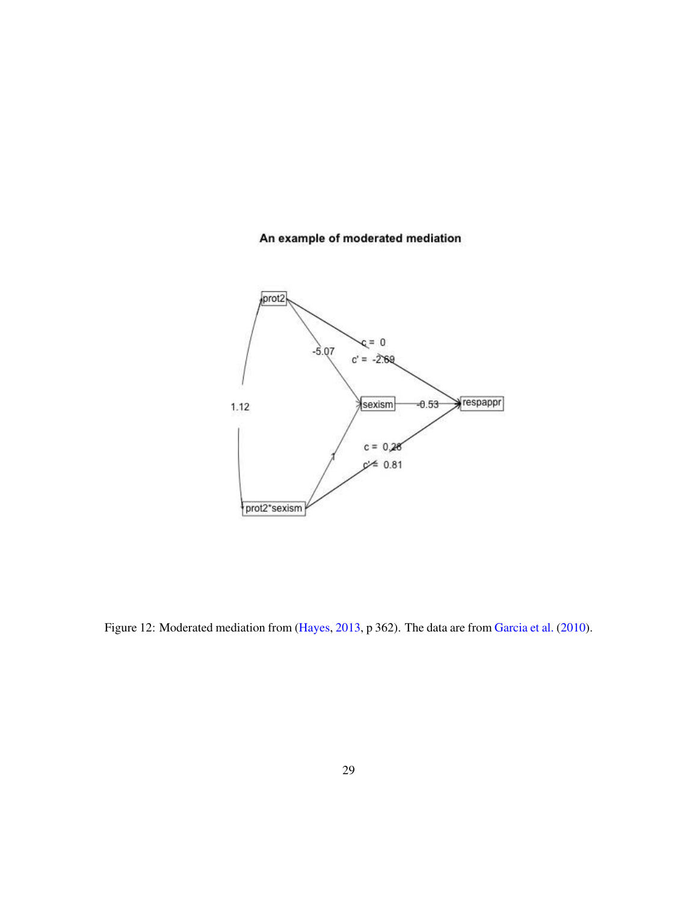## An example of moderated mediation



Figure 12: Moderated mediation from (Hayes, 2013, p 362). The data are from Garcia et al. (2010).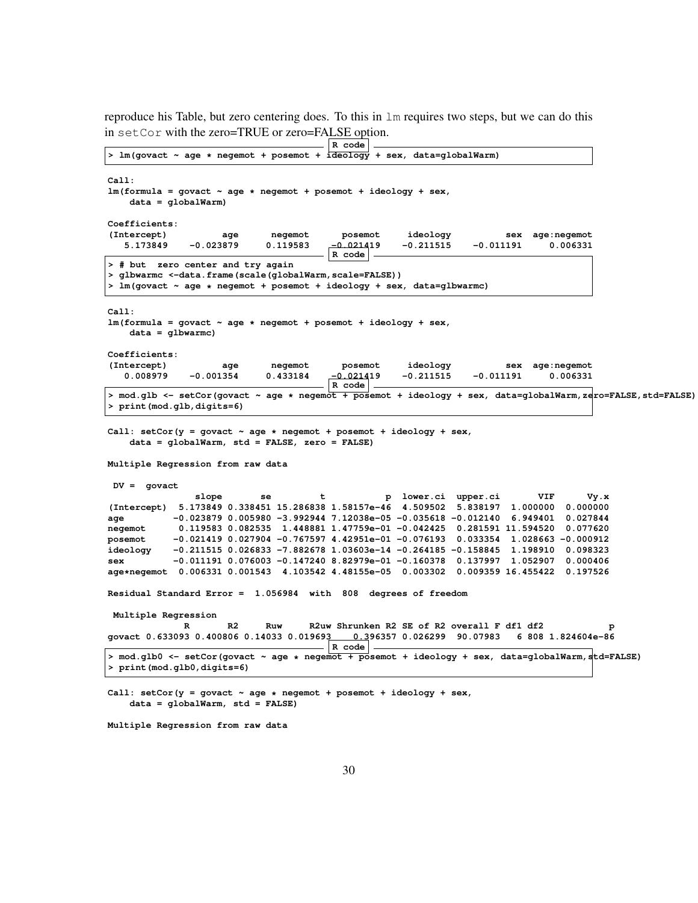reproduce his Table, but zero centering does. To this in lm requires two steps, but we can do this in setCor with the zero=TRUE or zero=FALSE option.

|                                                                                                                                               | R code                                     |                                             |             |                    |      |
|-----------------------------------------------------------------------------------------------------------------------------------------------|--------------------------------------------|---------------------------------------------|-------------|--------------------|------|
| > lm(govact ~ age * negemot + posemot + ideology + sex, data=globalWarm)                                                                      |                                            |                                             |             |                    |      |
| Call:<br>$lm(formula = qovact ~ aqe ~ negenot + posemot + ideology + sex,$<br>$data = qlobalWarm)$                                            |                                            |                                             |             |                    |      |
| Coefficients:                                                                                                                                 |                                            |                                             |             |                    |      |
| (Intercept)<br>negemot<br>age                                                                                                                 | posemot                                    | ideology                                    |             | sex age: negemot   |      |
| 5.173849<br>$-0.023879$<br>0.119583                                                                                                           | $-0.021419$                                | $-0.211515$                                 | $-0.011191$ | 0.006331           |      |
|                                                                                                                                               | R code                                     |                                             |             |                    |      |
| > # but zero center and try again                                                                                                             |                                            |                                             |             |                    |      |
| > glbwarmc <-data.frame(scale(globalWarm,scale=FALSE))                                                                                        |                                            |                                             |             |                    |      |
| > lm(govact ~ age * negemot + posemot + ideology + sex, data=glbwarmc)                                                                        |                                            |                                             |             |                    |      |
|                                                                                                                                               |                                            |                                             |             |                    |      |
| Call:<br>$lm(formula = govact ~ age ~ * negemot ~ + posemot ~ + ideology ~ sex,$<br>$data = qlbwarmc)$                                        |                                            |                                             |             |                    |      |
| Coefficients:                                                                                                                                 |                                            |                                             |             |                    |      |
| (Intercept)<br>negemot<br>age                                                                                                                 | posemot                                    | ideology                                    |             | sex age: negemot   |      |
| 0.008979<br>$-0.001354$<br>0.433184                                                                                                           | $-0.021419$<br>$\mid$ R $\mid$ code $\mid$ | $-0.211515$                                 | $-0.011191$ | 0.006331           |      |
| > mod.glb <- setCor(govact ~ age * negemot + posemot + ideology + sex, data=globalWarm, zero=FALSE, std=FALSE)<br>> print (mod.glb, digits=6) |                                            |                                             |             |                    |      |
| Call: setCor(y = govact $\sim$ age $\star$ negemot + posemot + ideology + sex,<br>data = globalWarm, std = FALSE, zero = FALSE)               |                                            |                                             |             |                    |      |
| Multiple Regression from raw data                                                                                                             |                                            |                                             |             |                    |      |
| $DV = govact$                                                                                                                                 |                                            |                                             |             |                    |      |
| slope<br>se<br>t                                                                                                                              |                                            | p lower.ci upper.ci                         |             | VIF                | Vy.x |
| (Intercept) 5.173849 0.338451 15.286838 1.58157e-46 4.509502 5.838197 1.000000                                                                |                                            |                                             |             | 0.000000           |      |
| $-0.023879$ 0.005980 $-3.992944$ 7.12038e-05 -0.035618 -0.012140 6.949401 0.027844<br>age                                                     |                                            |                                             |             |                    |      |
| 0.119583 0.082535 1.448881 1.47759e-01 -0.042425 0.281591 11.594520 0.077620<br>negemot                                                       |                                            |                                             |             |                    |      |
| $-0.021419$ 0.027904 $-0.767597$ 4.42951e-01 $-0.076193$ 0.033354 1.028663 $-0.000912$<br>posemot                                             |                                            |                                             |             |                    |      |
| $-0.211515$ 0.026833 -7.882678 1.03603e-14 -0.264185 -0.158845 1.198910<br>ideology                                                           |                                            |                                             |             | 0.098323           |      |
| $-0.011191$ 0.076003 $-0.147240$ 8.82979e-01 $-0.160378$ 0.137997 1.052907 0.000406<br>sex                                                    |                                            |                                             |             |                    |      |
| age*negemot 0.006331 0.001543 4.103542 4.48155e-05 0.003302 0.009359 16.455422 0.197526                                                       |                                            |                                             |             |                    |      |
| Residual Standard Error = 1.056984 with 808 degrees of freedom                                                                                |                                            |                                             |             |                    |      |
| Multiple Regression                                                                                                                           |                                            |                                             |             |                    |      |
| R2<br>R<br>Ruw                                                                                                                                |                                            | R2uw Shrunken R2 SE of R2 overall F df1 df2 |             |                    | p    |
| govact 0.633093 0.400806 0.14033 0.019693                                                                                                     | $\mathsf{R}\ \mathsf{code}$                | 0.396357  0.026299  90.07983                |             | 6 808 1.824604e-86 |      |
| mod.glb0 <- setCor(govact ~ age * negemot + posemot + ideology + sex, data=globalWarm,std=FALSE) <<br>> print (mod.glb0, digits=6)            |                                            |                                             |             |                    |      |
| Call: $setCor(y = govact ~ age ~ x negemot + posemot + ideology + sex,$<br>$data = globalWarm, std = FALSE)$                                  |                                            |                                             |             |                    |      |

**Multiple Regression from raw data**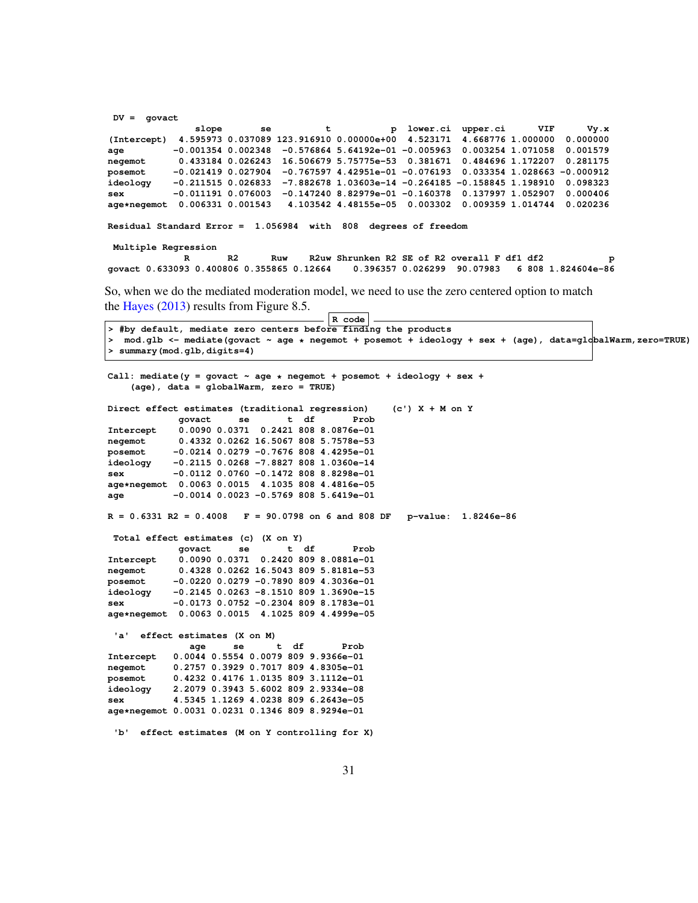**DV = govact slope se t p lower.ci upper.ci VIF Vy.x (Intercept) 4.595973 0.037089 123.916910 0.00000e+00 4.523171 4.668776 1.000000 0.000000 age -0.001354 0.002348 -0.576864 5.64192e-01 -0.005963 0.003254 1.071058 0.001579 negemot 0.433184 0.026243 16.506679 5.75775e-53 0.381671 0.484696 1.172207 0.281175 posemot -0.021419 0.027904 -0.767597 4.42951e-01 -0.076193 0.033354 1.028663 -0.000912 ideology -0.211515 0.026833 -7.882678 1.03603e-14 -0.264185 -0.158845 1.198910 0.098323 sex -0.011191 0.076003 -0.147240 8.82979e-01 -0.160378 0.137997 1.052907 0.000406 age\*negemot 0.006331 0.001543 4.103542 4.48155e-05 0.003302 0.009359 1.014744 0.020236 Residual Standard Error = 1.056984 with 808 degrees of freedom Multiple Regression** R R2 Ruw R2uw Shrunken R2 SE of R2 overall F df1 df2 p<br>govact 0.633093 0.400806 0.355865 0.12664 0.396357 0.026299 90.07983 6 808 1.824604e-86 **govact 0.633093 0.400806 0.355865 0.12664 0.396357 0.026299 90.07983 6 808 1.824604e-86** So, when we do the mediated moderation model, we need to use the zero centered option to match the Hayes (2013) results from Figure 8.5. **R code > #by default, mediate zero centers before finding the products > mod.glb <- mediate(govact ~ age \* negemot + posemot + ideology + sex + (age), data=globalWarm,zero=TRUE) > summary(mod.glb,digits=4)** Call: mediate( $y =$  govact  $\sim$  age  $*$  negemot + posemot + ideology + sex + **(age), data = globalWarm, zero = TRUE) Direct effect estimates (traditional regression) (c') X + M on Y govact se t df Prob Intercept 0.0090 0.0371 0.2421 808 8.0876e-01 negemot 0.4332 0.0262 16.5067 808 5.7578e-53 posemot -0.0214 0.0279 -0.7676 808 4.4295e-01 ideology -0.2115 0.0268 -7.8827 808 1.0360e-14 sex -0.0112 0.0760 -0.1472 808 8.8298e-01 age\*negemot 0.0063 0.0015 4.1035 808 4.4816e-05 age -0.0014 0.0023 -0.5769 808 5.6419e-01 R = 0.6331 R2 = 0.4008 F = 90.0798 on 6 and 808 DF p-value: 1.8246e-86 Total effect estimates (c) (X on Y) govact se t df Prob Intercept 0.0090 0.0371 0.2420 809 8.0881e-01 negemot 0.4328 0.0262 16.5043 809 5.8181e-53 posemot -0.0220 0.0279 -0.7890 809 4.3036e-01 ideology -0.2145 0.0263 -8.1510 809 1.3690e-15 sex -0.0173 0.0752 -0.2304 809 8.1783e-01 age\*negemot 0.0063 0.0015 4.1025 809 4.4999e-05 'a' effect estimates (X on M) age se t df Prob Intercept 0.0044 0.5554 0.0079 809 9.9366e-01 negemot 0.2757 0.3929 0.7017 809 4.8305e-01 posemot 0.4232 0.4176 1.0135 809 3.1112e-01 ideology 2.2079 0.3943 5.6002 809 2.9334e-08 sex 4.5345 1.1269 4.0238 809 6.2643e-05 age\*negemot 0.0031 0.0231 0.1346 809 8.9294e-01 'b' effect estimates (M on Y controlling for X)**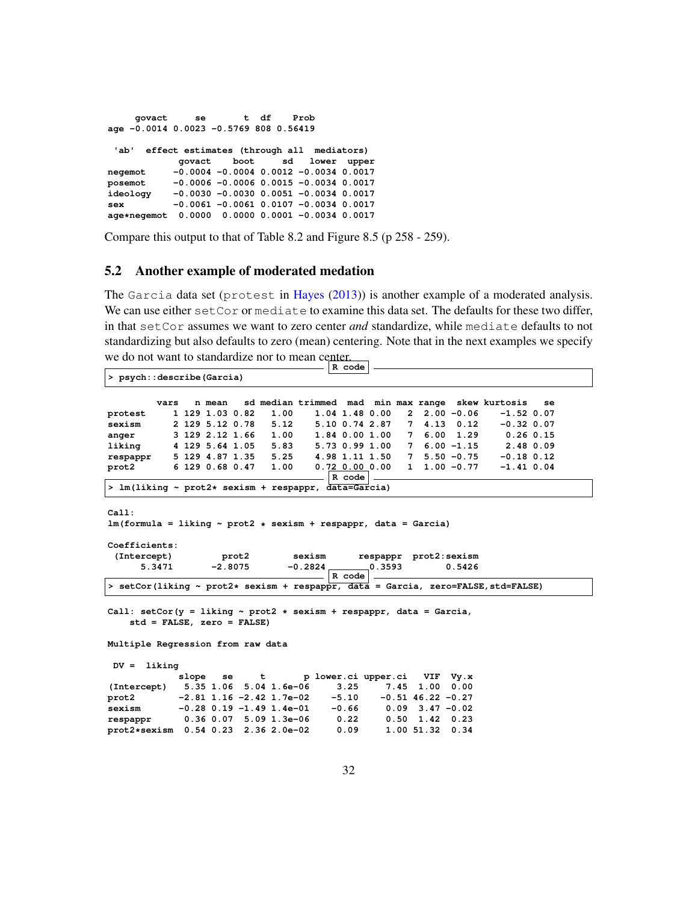```
govact se t df Prob
age -0.0014 0.0023 -0.5769 808 0.56419
 'ab' effect estimates (through all mediators)
           govact boot sd lower upper
negemot -0.0004 -0.0004 0.0012 -0.0034 0.0017
posemot -0.0006 -0.0006 0.0015 -0.0034 0.0017
          ideology -0.0030 -0.0030 0.0051 -0.0034 0.0017
sex -0.0061 -0.0061 0.0107 -0.0034 0.0017
age*negemot 0.0000 0.0000 0.0001 -0.0034 0.0017
```
Compare this output to that of Table 8.2 and Figure 8.5 (p 258 - 259).

#### 5.2 Another example of moderated medation

The Garcia data set (protest in Hayes (2013)) is another example of a moderated analysis. We can use either set Cor or mediate to examine this data set. The defaults for these two differ, in that setCor assumes we want to zero center *and* standardize, while mediate defaults to not standardizing but also defaults to zero (mean) centering. Note that in the next examples we specify we do not want to standardize nor to mean center.<br> **R** code

| > psych::describe(Garcia)                                                                                      |
|----------------------------------------------------------------------------------------------------------------|
|                                                                                                                |
| sd median trimmed mad min max range skew kurtosis<br>vars<br>n mean<br>se                                      |
| 1.00<br>$1.04$ $1.48$ $0.00$<br>$2, 2.00 - 0.06$<br>1 129 1.03 0.82<br>$-1.52$ 0.07<br>protest                 |
| $7\quad 4.13\quad 0.12$<br>sexism<br>2 129 5.12 0.78<br>5.12 5.10 0.74 2.87<br>$-0.32$ 0.07                    |
| 3 129 2.12 1.66 1.00 1.84 0.00 1.00<br>7 6.00 1.29<br>$0.26$ $0.15$<br>anger                                   |
| liking 4 129 5.64 1.05 5.83 5.73 0.99 1.00 7 6.00 -1.15 2.48 0.09                                              |
| respappr 5 129 4.87 1.35 5.25 4.98 1.11 1.50 7 5.50 -0.75 -0.18 0.12                                           |
| $1 \quad 1.00 \quad -0.77$<br>prot2 6 129 0.68 0.47<br>1.00<br>$0.72$ $0.00$ $0.00$<br>$-1.41$ 0.04            |
| $R \text{ code}$<br>> lm(liking ~ prot2* sexism + respappr, data=Garcia)                                       |
|                                                                                                                |
| Call:                                                                                                          |
| $lm(formula = liking ~ prot2 ~ * sexism + respappr, data = Garcia)$                                            |
|                                                                                                                |
| Coefficients:                                                                                                  |
| (Intercept)<br>prot2 sexism respappr prot2:sexism                                                              |
| $-2.8075$<br>5.3471<br>0.5426                                                                                  |
| $R$ code                                                                                                       |
| > setCor(liking ~ prot2* sexism + respappr, data = Garcia, zero=FALSE, std=FALSE)                              |
| Call: setCor(y = liking $\sim$ prot2 $\star$ sexism + respappr, data = Garcia,<br>$std = FALSE, zero = FALSE)$ |
| Multiple Regression from raw data                                                                              |
| $DV = 1$ iking                                                                                                 |
| slope se t p lower.ci upper.ci VIF Vy.x                                                                        |
| (Intercept) 5.35 1.06 5.04 1.6e-06<br>$3.25$ $7.45$<br>$1.00 \quad 0.00$                                       |
| prot2 $-2.81$ 1.16 $-2.42$ 1.7e-02 $-5.10$ $-0.51$ 46.22 $-0.27$                                               |
| sexism -0.28 0.19 -1.49 1.4e-01<br>$-0.66$ $0.09$ 3.47 $-0.02$                                                 |
| respappr 0.36 0.07 5.09 1.3e-06 0.22<br>$0.50$ 1.42 0.23                                                       |
| prot2*sexism 0.54 0.23 2.36 2.0e-02<br>0.09<br>1.00 51.32 0.34                                                 |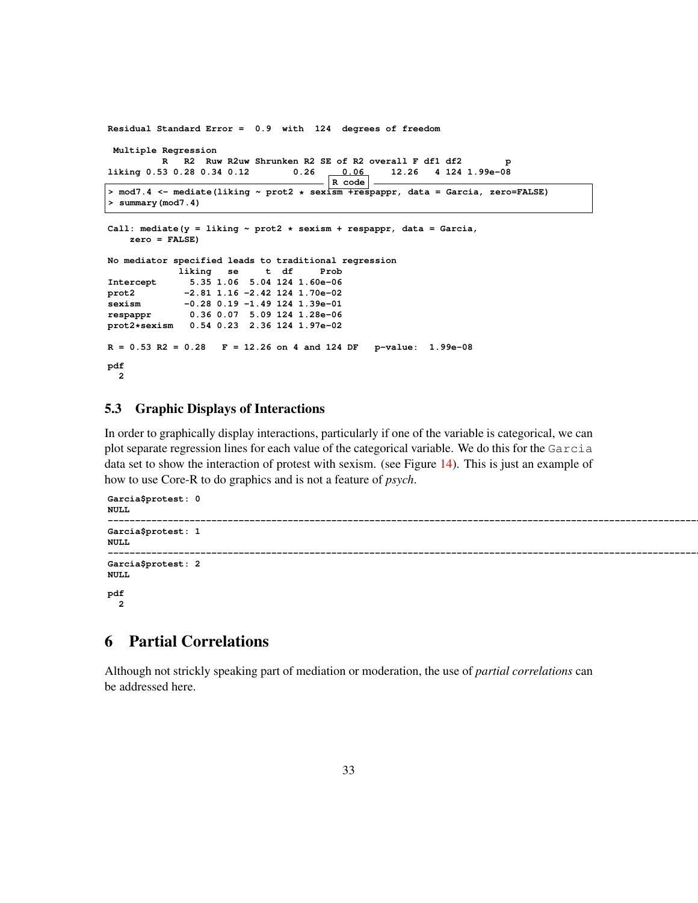```
Residual Standard Error = 0.9 with 124 degrees of freedom
Multiple Regression
         R R2 Ruw R2uw Shrunken R2 SE of R2 overall F df1 df2 p
liking 0.53 0.28 0.34 0.12 0.26 0.06
                                     R code
> mod7.4 <- mediate(liking ~ prot2 * sexism +respappr, data = Garcia, zero=FALSE)
> summary(mod7.4)
Call: mediate(y = liking ~ prot2 * sexism + respappr, data = Garcia,
   zero = FALSE)
No mediator specified leads to traditional regression
           liking se t df Prob
Intercept 5.35 1.06 5.04 124 1.60e-06
prot2 -2.81 1.16 -2.42 124 1.70e-02
sexism -0.28 0.19 -1.49 124 1.39e-01
respappr 0.36 0.07 5.09 124 1.28e-06
prot2*sexism 0.54 0.23 2.36 124 1.97e-02
R = 0.53 R2 = 0.28 F = 12.26 on 4 and 124 DF p-value: 1.99e-08
pdf
 2
```
### 5.3 Graphic Displays of Interactions

In order to graphically display interactions, particularly if one of the variable is categorical, we can plot separate regression lines for each value of the categorical variable. We do this for the Garcia data set to show the interaction of protest with sexism. (see Figure 14). This is just an example of how to use Core-R to do graphics and is not a feature of *psych*.

```
Garcia$protest: 0
NULL
------------------------------------------------------------------------------------------------------------------------
Garcia$protest: 1
NULL
------------------------------------------------------------------------------------------------------------------------
Garcia$protest: 2
NULL
pdf
  2
```
## 6 Partial Correlations

Although not strickly speaking part of mediation or moderation, the use of *partial correlations* can be addressed here.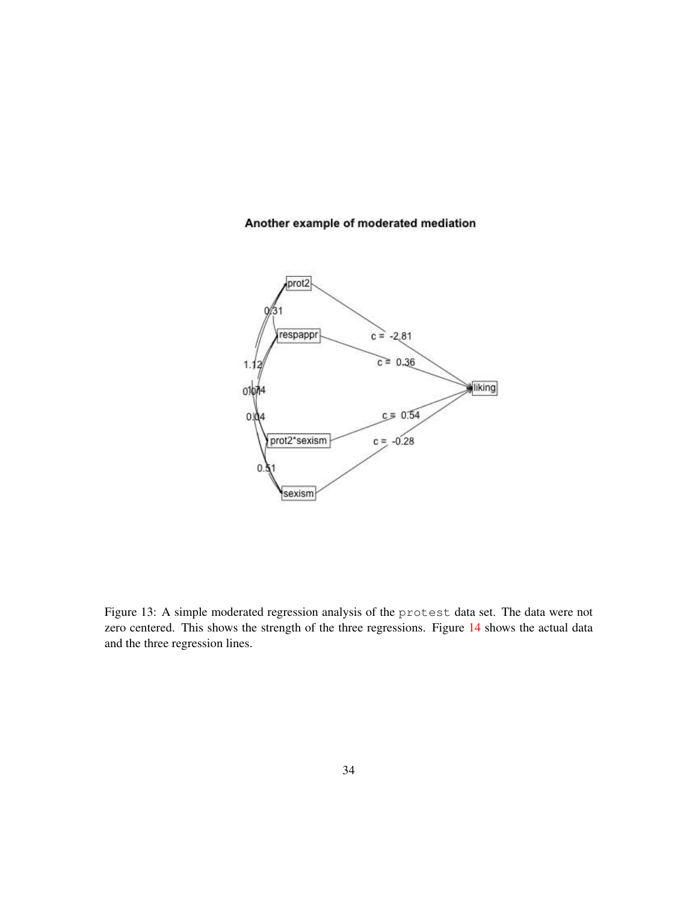# Another example of moderated mediation



Figure 13: A simple moderated regression analysis of the protest data set. The data were not zero centered. This shows the strength of the three regressions. Figure 14 shows the actual data and the three regression lines.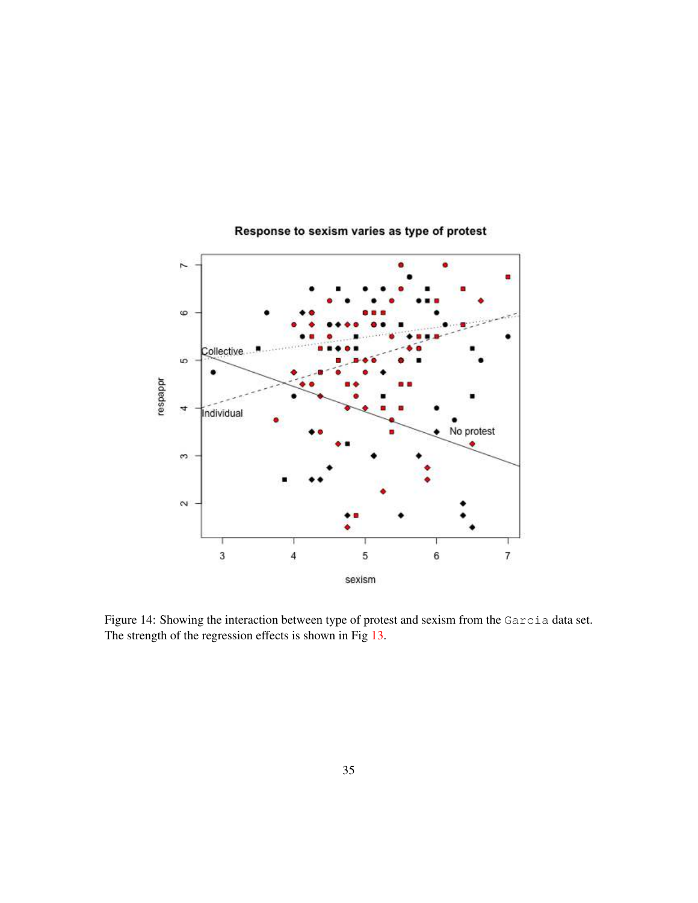

# Response to sexism varies as type of protest

Figure 14: Showing the interaction between type of protest and sexism from the Garcia data set. The strength of the regression effects is shown in Fig 13.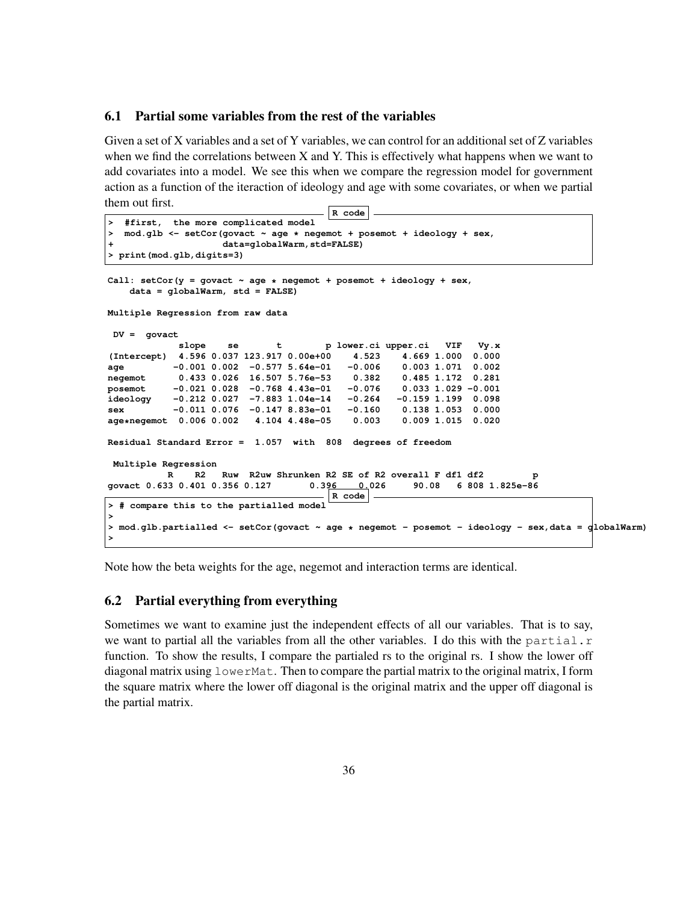#### 6.1 Partial some variables from the rest of the variables

Given a set of X variables and a set of Y variables, we can control for an additional set of Z variables when we find the correlations between X and Y. This is effectively what happens when we want to add covariates into a model. We see this when we compare the regression model for government action as a function of the iteraction of ideology and age with some covariates, or when we partial them out first.

```
R code
  > #first, the more complicated model
> mod.glb <- setCor(govact ~ age * negemot + posemot + ideology + sex,
                   + data=globalWarm,std=FALSE)
> print(mod.glb,digits=3)
Call: setCor(y = govact ~ age * negemot + posemot + ideology + sex,
   data = globalWarm, std = FALSE)
Multiple Regression from raw data
DV = govact
           slope se t p lower.ci upper.ci VIF Vy.x
(Intercept) 4.596 0.037 123.917 0.00e+00 4.523 4.669 1.000 0.000
age -0.001 0.002 -0.577 5.64e-01 -0.006 0.003 1.071 0.002
negemot  0.433  0.026  16.507  5.76e-53  0.382
posemot -0.021 0.028 -0.768 4.43e-01 -0.076 0.033 1.029 -0.001
          ideology -0.212 0.027 -7.883 1.04e-14 -0.264 -0.159 1.199 0.098
sex -0.011 0.076 -0.147 8.83e-01 -0.160 0.138 1.053 0.000
age*negemot 0.006 0.002 4.104 4.48e-05 0.003 0.009 1.015 0.020
Residual Standard Error = 1.057 with 808 degrees of freedom
Multiple Regression
          R R2 Ruw R2uw Shrunken R2 SE of R2 overall F df1 df2 p
govact 0.633 0.401 0.356 0.127 0.396 0.026 90.08 6 808 1.825e-86
                                     R code
> # compare this to the partialled model
>
> mod.glb.partialled <- setCor(govact ~ age * negemot - posemot - ideology - sex,data = globalWarm)
>
```
Note how the beta weights for the age, negemot and interaction terms are identical.

#### 6.2 Partial everything from everything

Sometimes we want to examine just the independent effects of all our variables. That is to say, we want to partial all the variables from all the other variables. I do this with the partial.r function. To show the results, I compare the partialed rs to the original rs. I show the lower off diagonal matrix using lowerMat. Then to compare the partial matrix to the original matrix, I form the square matrix where the lower off diagonal is the original matrix and the upper off diagonal is the partial matrix.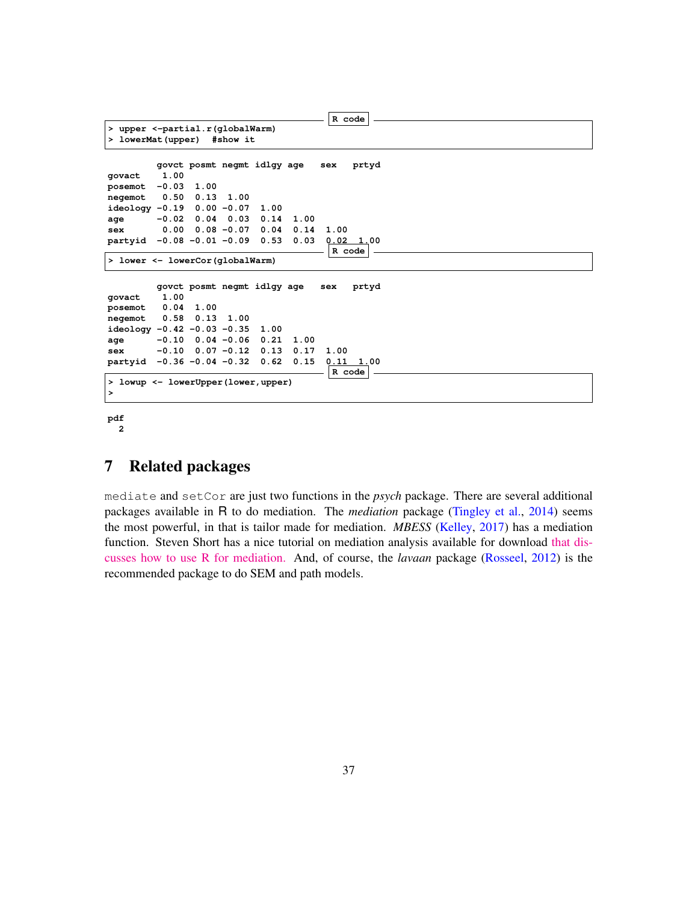```
R code
> upper <-partial.r(globalWarm)
> lowerMat(upper) #show it
        govct posmt negmt idlgy age sex prtyd
govact 1.00
posemot -0.03 1.00
negemot 0.50 0.13 1.00
ideology -0.19 0.00 -0.07 1.00
age -0.02 0.04 0.03 0.14 1.00
sex 0.00 0.08 -0.07 0.04 0.14 1.00
partyid -0.08 -0.01 -0.09 0.53 0.03 0.02 1.00
                                     R code
> lower <- lowerCor(globalWarm)
        govct posmt negmt idlgy age sex prtyd
govact 1.00
posemot 0.04 1.00
negemot 0.58 0.13 1.00
ideology -0.42 -0.03 -0.35 1.00
age -0.10 0.04 -0.06 0.21 1.00
sex -0.10 0.07 -0.12 0.13 0.17 1.00
partyid -0.36 -0.04 -0.32 0.62 0.15 0.11 1.00
                                    R code
> lowup <- lowerUpper(lower,upper)
>
```
**pdf 2**

## 7 Related packages

mediate and setCor are just two functions in the *psych* package. There are several additional packages available in R to do mediation. The *mediation* package (Tingley et al., 2014) seems the most powerful, in that is tailor made for mediation. *MBESS* (Kelley, 2017) has a mediation function. Steven Short has a nice tutorial on mediation analysis available for download [that dis](http://docs.wixstatic.com/ugd/bb3887_73181065d7c744c4a0925844302cf813.pdf)[cusses how to use R for mediation.](http://docs.wixstatic.com/ugd/bb3887_73181065d7c744c4a0925844302cf813.pdf) And, of course, the *lavaan* package (Rosseel, 2012) is the recommended package to do SEM and path models.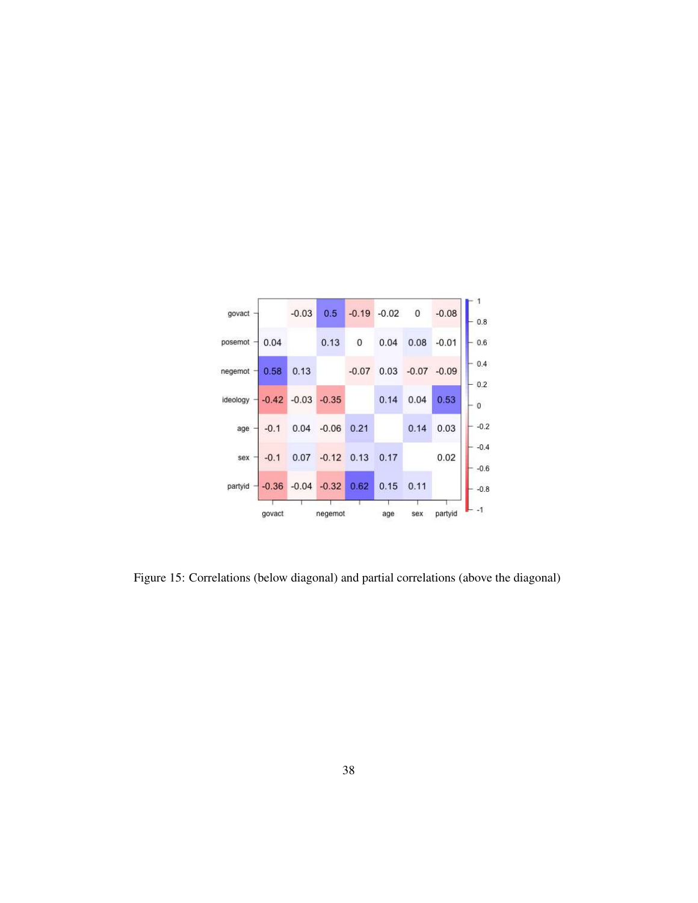| govact   |         | $-0.03$ | 0.5                     | $-0.19$     | $-0.02$ | $\overline{0}$ | $-0.08$        |
|----------|---------|---------|-------------------------|-------------|---------|----------------|----------------|
| posemot  | 0.04    |         | 0.13                    | $\mathbf 0$ | 0.04    | 0.08           | $-0.01$        |
| negemot  | 0.58    | 0.13    |                         | $-0.07$     | 0.03    |                | $-0.07 - 0.09$ |
| ideology | $-0.42$ |         | $-0.03 - 0.35$          |             | 0.14    | 0.04           | 0.53           |
| age      | $-0.1$  | 0.04    | $-0.06$                 | 0.21        |         | 0.14           | 0.03           |
| sex      | $-0.1$  | 0.07    | $-0.12$ $0.13$          |             | 0.17    |                | 0.02           |
| partyid  |         |         | $-0.36$ $-0.04$ $-0.32$ | 0.62        | 0.15    | 0.11           |                |
|          | govact  |         | negemot                 |             | age     | sex            | partyid        |

Figure 15: Correlations (below diagonal) and partial correlations (above the diagonal)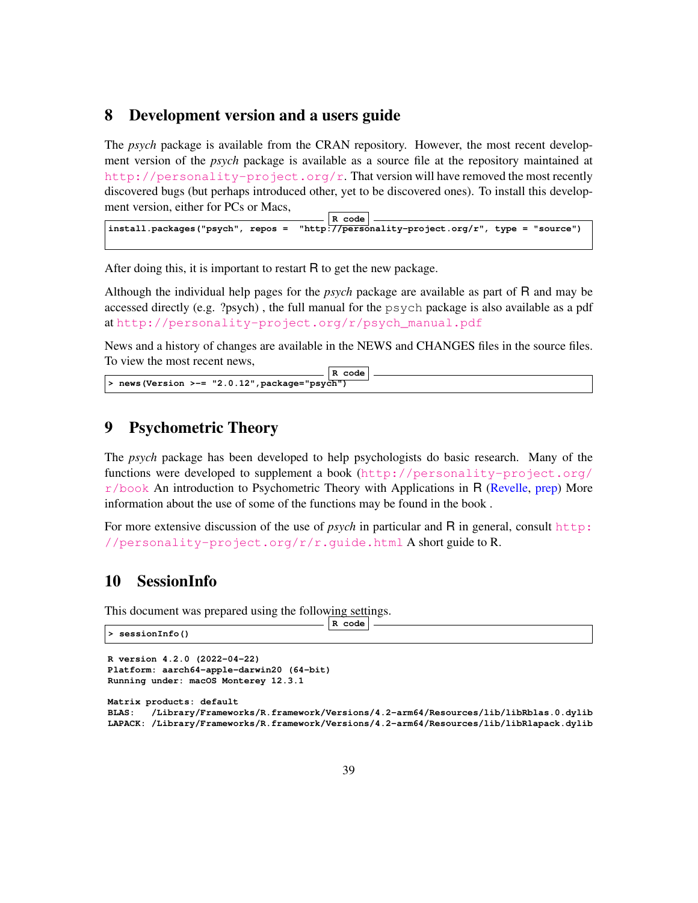### 8 Development version and a users guide

The *psych* package is available from the CRAN repository. However, the most recent development version of the *psych* package is available as a source file at the repository maintained at [http://personality-project.org/r]( href="http://personality-project.org/r"). That version will have removed the most recently discovered bugs (but perhaps introduced other, yet to be discovered ones). To install this development version, either for PCs or Macs,

**R code install.packages("psych", repos = "http://personality-project.org/r", type = "source")**

After doing this, it is important to restart R to get the new package.

Although the individual help pages for the *psych* package are available as part of R and may be accessed directly (e.g. ?psych) , the full manual for the psych package is also available as a pdf at [http://personality-project.org/r/psych\\_manual.pdf](http://personality-project.org/r/psych_manual.pdf)

News and a history of changes are available in the NEWS and CHANGES files in the source files. To view the most recent news,

```
R code
> news(Version >-= "2.0.12",package="psych")
```
## 9 Psychometric Theory

The *psych* package has been developed to help psychologists do basic research. Many of the functions were developed to supplement a book ([http://personality-project.org/](http://personality-project.org/r/book)  $r/b$ ook An introduction to Psychometric Theory with Applications in R (Revelle, prep) More information about the use of some of the functions may be found in the book .

For more extensive discussion of the use of *psych* in particular and R in general, consult [http:](http://personality-project.org/r/r.guide.html) [//personality-project.org/r/r.guide.html](http://personality-project.org/r/r.guide.html) A short guide to R.

# 10 SessionInfo

This document was prepared using the following settings.

| > sessionInfo() | code<br>Ð |
|-----------------|-----------|
|                 |           |

```
R version 4.2.0 (2022-04-22)
Platform: aarch64-apple-darwin20 (64-bit)
Running under: macOS Monterey 12.3.1
Matrix products: default
BLAS: /Library/Frameworks/R.framework/Versions/4.2-arm64/Resources/lib/libRblas.0.dylib
LAPACK: /Library/Frameworks/R.framework/Versions/4.2-arm64/Resources/lib/libRlapack.dylib
```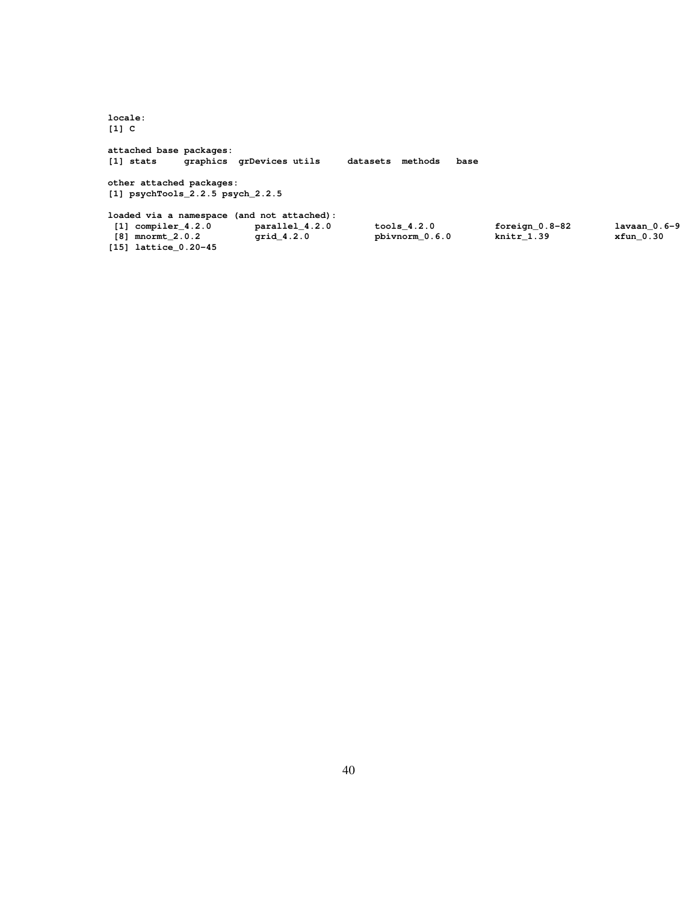**locale: [1] C attached base packages: [1] stats graphics grDevices utils datasets methods base other attached packages: [1] psychTools\_2.2.5 psych\_2.2.5 loaded via a namespace (and not attached): [1] compiler\_4.2.0 parallel\_4.2.0 tools\_4.2.0 foreign\_0.8-82 lavaan\_0.6-9 [8] mnormt\_2.0.2 grid\_4.2.0 pbivnorm\_0.6.0 knitr\_1.39 xfun\_0.30 [15] lattice\_0.20-45**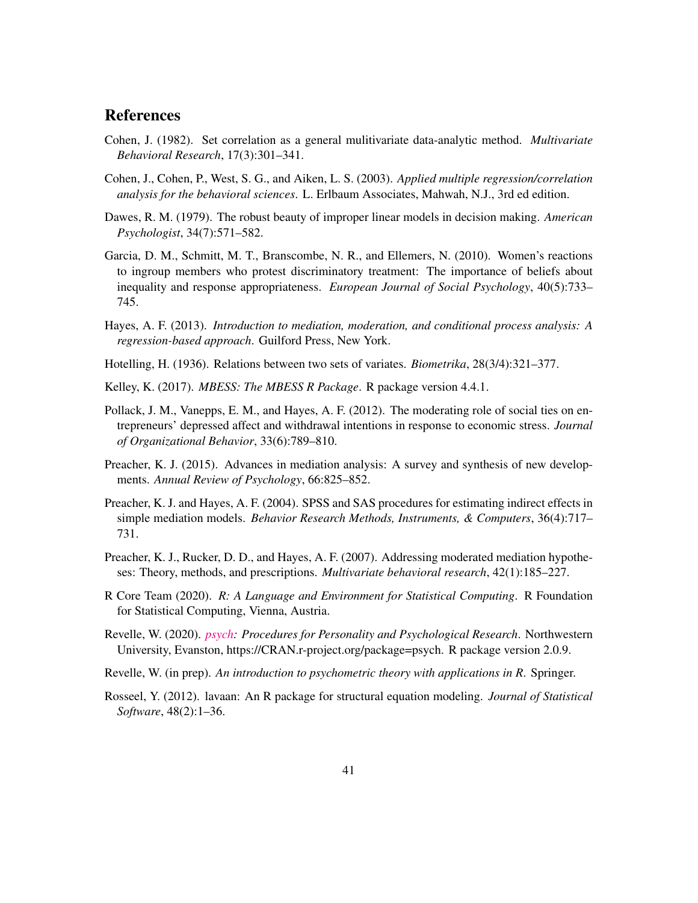# **References**

- Cohen, J. (1982). Set correlation as a general mulitivariate data-analytic method. *Multivariate Behavioral Research*, 17(3):301–341.
- Cohen, J., Cohen, P., West, S. G., and Aiken, L. S. (2003). *Applied multiple regression/correlation analysis for the behavioral sciences*. L. Erlbaum Associates, Mahwah, N.J., 3rd ed edition.
- Dawes, R. M. (1979). The robust beauty of improper linear models in decision making. *American Psychologist*, 34(7):571–582.
- Garcia, D. M., Schmitt, M. T., Branscombe, N. R., and Ellemers, N. (2010). Women's reactions to ingroup members who protest discriminatory treatment: The importance of beliefs about inequality and response appropriateness. *European Journal of Social Psychology*, 40(5):733– 745.
- Hayes, A. F. (2013). *Introduction to mediation, moderation, and conditional process analysis: A regression-based approach*. Guilford Press, New York.
- Hotelling, H. (1936). Relations between two sets of variates. *Biometrika*, 28(3/4):321–377.
- Kelley, K. (2017). *MBESS: The MBESS R Package*. R package version 4.4.1.
- Pollack, J. M., Vanepps, E. M., and Hayes, A. F. (2012). The moderating role of social ties on entrepreneurs' depressed affect and withdrawal intentions in response to economic stress. *Journal of Organizational Behavior*, 33(6):789–810.
- Preacher, K. J. (2015). Advances in mediation analysis: A survey and synthesis of new developments. *Annual Review of Psychology*, 66:825–852.
- Preacher, K. J. and Hayes, A. F. (2004). SPSS and SAS procedures for estimating indirect effects in simple mediation models. *Behavior Research Methods, Instruments, & Computers*, 36(4):717– 731.
- Preacher, K. J., Rucker, D. D., and Hayes, A. F. (2007). Addressing moderated mediation hypotheses: Theory, methods, and prescriptions. *Multivariate behavioral research*, 42(1):185–227.
- R Core Team (2020). *R: A Language and Environment for Statistical Computing*. R Foundation for Statistical Computing, Vienna, Austria.
- Revelle, W. (2020). *[psych:](https://cran.r-project.org/web/packages/psych/index.html) Procedures for Personality and Psychological Research*. Northwestern University, Evanston, https://CRAN.r-project.org/package=psych. R package version 2.0.9.
- Revelle, W. (in prep). *An introduction to psychometric theory with applications in R*. Springer.
- Rosseel, Y. (2012). lavaan: An R package for structural equation modeling. *Journal of Statistical Software*, 48(2):1–36.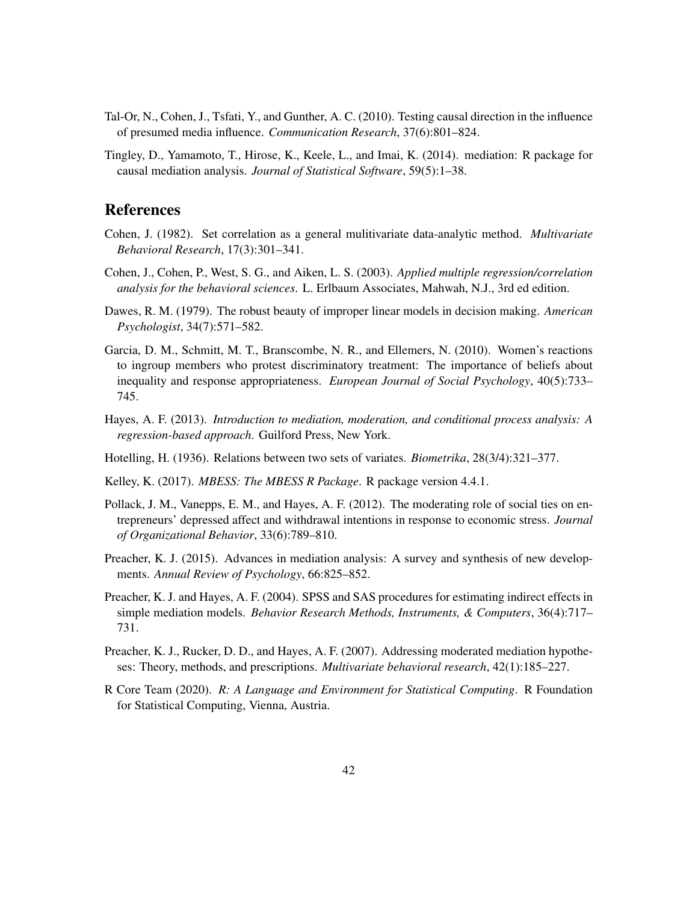- Tal-Or, N., Cohen, J., Tsfati, Y., and Gunther, A. C. (2010). Testing causal direction in the influence of presumed media influence. *Communication Research*, 37(6):801–824.
- Tingley, D., Yamamoto, T., Hirose, K., Keele, L., and Imai, K. (2014). mediation: R package for causal mediation analysis. *Journal of Statistical Software*, 59(5):1–38.

# **References**

- Cohen, J. (1982). Set correlation as a general mulitivariate data-analytic method. *Multivariate Behavioral Research*, 17(3):301–341.
- Cohen, J., Cohen, P., West, S. G., and Aiken, L. S. (2003). *Applied multiple regression/correlation analysis for the behavioral sciences*. L. Erlbaum Associates, Mahwah, N.J., 3rd ed edition.
- Dawes, R. M. (1979). The robust beauty of improper linear models in decision making. *American Psychologist*, 34(7):571–582.
- Garcia, D. M., Schmitt, M. T., Branscombe, N. R., and Ellemers, N. (2010). Women's reactions to ingroup members who protest discriminatory treatment: The importance of beliefs about inequality and response appropriateness. *European Journal of Social Psychology*, 40(5):733– 745.
- Hayes, A. F. (2013). *Introduction to mediation, moderation, and conditional process analysis: A regression-based approach*. Guilford Press, New York.
- Hotelling, H. (1936). Relations between two sets of variates. *Biometrika*, 28(3/4):321–377.
- Kelley, K. (2017). *MBESS: The MBESS R Package*. R package version 4.4.1.
- Pollack, J. M., Vanepps, E. M., and Hayes, A. F. (2012). The moderating role of social ties on entrepreneurs' depressed affect and withdrawal intentions in response to economic stress. *Journal of Organizational Behavior*, 33(6):789–810.
- Preacher, K. J. (2015). Advances in mediation analysis: A survey and synthesis of new developments. *Annual Review of Psychology*, 66:825–852.
- Preacher, K. J. and Hayes, A. F. (2004). SPSS and SAS procedures for estimating indirect effects in simple mediation models. *Behavior Research Methods, Instruments, & Computers*, 36(4):717– 731.
- Preacher, K. J., Rucker, D. D., and Hayes, A. F. (2007). Addressing moderated mediation hypotheses: Theory, methods, and prescriptions. *Multivariate behavioral research*, 42(1):185–227.
- R Core Team (2020). *R: A Language and Environment for Statistical Computing*. R Foundation for Statistical Computing, Vienna, Austria.